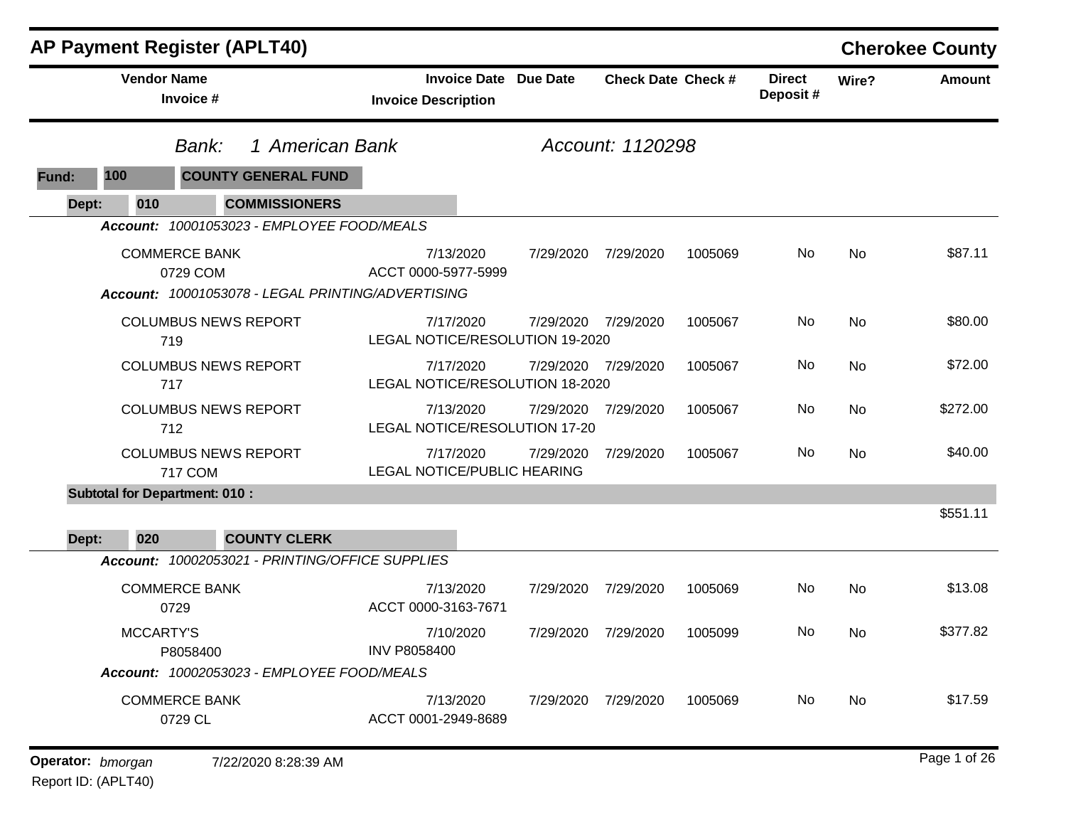| <b>AP Payment Register (APLT40)</b>                                                   |                                                   |                 |                           |         |                           |       | <b>Cherokee County</b> |
|---------------------------------------------------------------------------------------|---------------------------------------------------|-----------------|---------------------------|---------|---------------------------|-------|------------------------|
| <b>Vendor Name</b><br>Invoice #                                                       | <b>Invoice Date</b><br><b>Invoice Description</b> | <b>Due Date</b> | <b>Check Date Check #</b> |         | <b>Direct</b><br>Deposit# | Wire? | <b>Amount</b>          |
| Bank:                                                                                 | 1 American Bank                                   |                 | Account: 1120298          |         |                           |       |                        |
| <b>COUNTY GENERAL FUND</b><br>100<br>Fund:                                            |                                                   |                 |                           |         |                           |       |                        |
| <b>COMMISSIONERS</b><br>Dept:<br>010                                                  |                                                   |                 |                           |         |                           |       |                        |
| Account: 10001053023 - EMPLOYEE FOOD/MEALS                                            |                                                   |                 |                           |         |                           |       |                        |
| <b>COMMERCE BANK</b><br>0729 COM<br>Account: 10001053078 - LEGAL PRINTING/ADVERTISING | 7/13/2020<br>ACCT 0000-5977-5999                  | 7/29/2020       | 7/29/2020                 | 1005069 | No                        | No    | \$87.11                |
| <b>COLUMBUS NEWS REPORT</b><br>719                                                    | 7/17/2020<br>LEGAL NOTICE/RESOLUTION 19-2020      | 7/29/2020       | 7/29/2020                 | 1005067 | No                        | No    | \$80.00                |
| <b>COLUMBUS NEWS REPORT</b><br>717                                                    | 7/17/2020<br>LEGAL NOTICE/RESOLUTION 18-2020      | 7/29/2020       | 7/29/2020                 | 1005067 | No                        | No    | \$72.00                |
| <b>COLUMBUS NEWS REPORT</b><br>712                                                    | 7/13/2020<br>LEGAL NOTICE/RESOLUTION 17-20        | 7/29/2020       | 7/29/2020                 | 1005067 | No                        | No    | \$272.00               |
| <b>COLUMBUS NEWS REPORT</b><br>717 COM                                                | 7/17/2020<br>LEGAL NOTICE/PUBLIC HEARING          | 7/29/2020       | 7/29/2020                 | 1005067 | No                        | No    | \$40.00                |
| <b>Subtotal for Department: 010:</b>                                                  |                                                   |                 |                           |         |                           |       |                        |
| <b>COUNTY CLERK</b><br>020<br>Dept:                                                   |                                                   |                 |                           |         |                           |       | \$551.11               |
| Account: 10002053021 - PRINTING/OFFICE SUPPLIES                                       |                                                   |                 |                           |         |                           |       |                        |
| <b>COMMERCE BANK</b><br>0729                                                          | 7/13/2020<br>ACCT 0000-3163-7671                  | 7/29/2020       | 7/29/2020                 | 1005069 | No                        | No    | \$13.08                |
| <b>MCCARTY'S</b><br>P8058400                                                          | 7/10/2020<br><b>INV P8058400</b>                  | 7/29/2020       | 7/29/2020                 | 1005099 | No                        | No    | \$377.82               |
| Account: 10002053023 - EMPLOYEE FOOD/MEALS                                            |                                                   |                 |                           |         |                           |       |                        |
| <b>COMMERCE BANK</b><br>0729 CL                                                       | 7/13/2020<br>ACCT 0001-2949-8689                  | 7/29/2020       | 7/29/2020                 | 1005069 | No                        | No    | \$17.59                |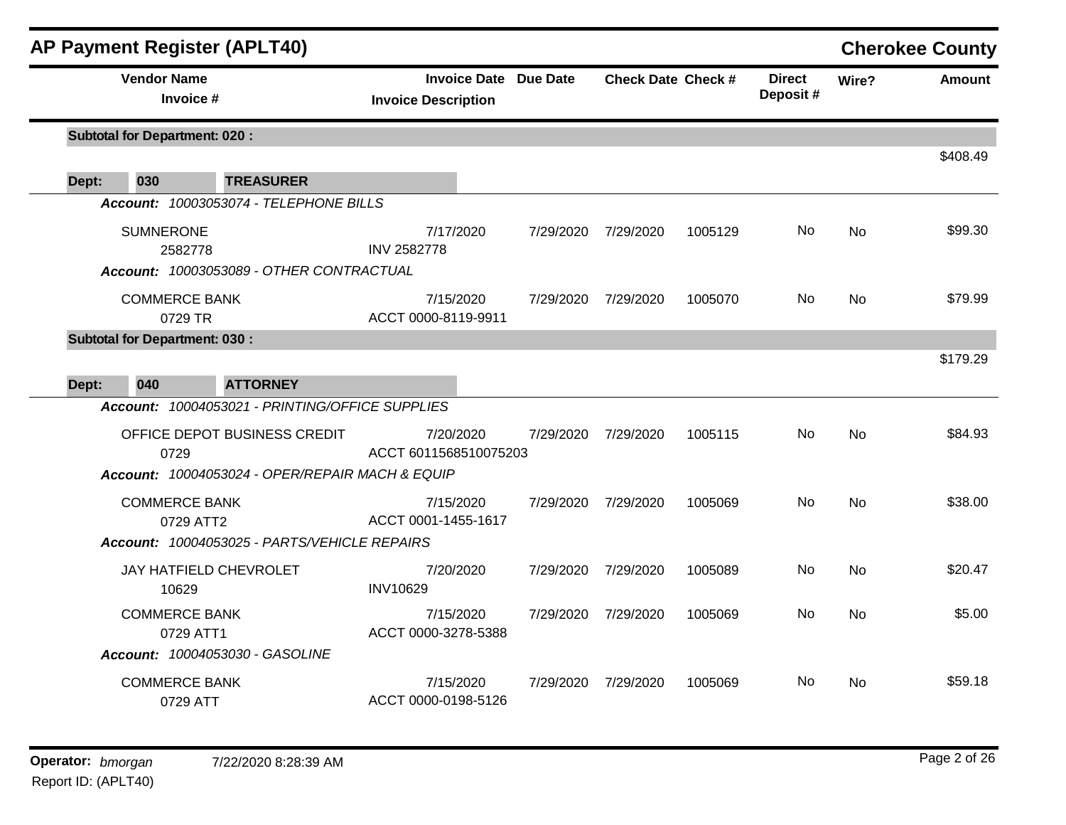|       | <b>AP Payment Register (APLT40)</b>             |                                                            |           |                           |         |                           |                | <b>Cherokee County</b> |
|-------|-------------------------------------------------|------------------------------------------------------------|-----------|---------------------------|---------|---------------------------|----------------|------------------------|
|       | <b>Vendor Name</b><br>Invoice #                 | <b>Invoice Date Due Date</b><br><b>Invoice Description</b> |           | <b>Check Date Check #</b> |         | <b>Direct</b><br>Deposit# | Wire?          | <b>Amount</b>          |
|       | <b>Subtotal for Department: 020:</b>            |                                                            |           |                           |         |                           |                | \$408.49               |
| Dept: | 030<br><b>TREASURER</b>                         |                                                            |           |                           |         |                           |                |                        |
|       | Account: 10003053074 - TELEPHONE BILLS          |                                                            |           |                           |         |                           |                |                        |
|       | <b>SUMNERONE</b><br>2582778                     | 7/17/2020<br><b>INV 2582778</b>                            | 7/29/2020 | 7/29/2020                 | 1005129 | No.                       | No             | \$99.30                |
|       | Account: 10003053089 - OTHER CONTRACTUAL        |                                                            |           |                           |         |                           |                |                        |
|       | <b>COMMERCE BANK</b><br>0729 TR                 | 7/15/2020<br>ACCT 0000-8119-9911                           | 7/29/2020 | 7/29/2020                 | 1005070 | No.                       | No             | \$79.99                |
|       | <b>Subtotal for Department: 030:</b>            |                                                            |           |                           |         |                           |                |                        |
| Dept: | 040<br><b>ATTORNEY</b>                          |                                                            |           |                           |         |                           |                | \$179.29               |
|       | Account: 10004053021 - PRINTING/OFFICE SUPPLIES |                                                            |           |                           |         |                           |                |                        |
|       | OFFICE DEPOT BUSINESS CREDIT<br>0729            | 7/20/2020<br>ACCT 6011568510075203                         | 7/29/2020 | 7/29/2020                 | 1005115 | No.                       | N <sub>o</sub> | \$84.93                |
|       | Account: 10004053024 - OPER/REPAIR MACH & EQUIP |                                                            |           |                           |         |                           |                |                        |
|       | <b>COMMERCE BANK</b><br>0729 ATT2               | 7/15/2020<br>ACCT 0001-1455-1617                           |           | 7/29/2020 7/29/2020       | 1005069 | No.                       | <b>No</b>      | \$38.00                |
|       | Account: 10004053025 - PARTS/VEHICLE REPAIRS    |                                                            |           |                           |         |                           |                |                        |
|       | JAY HATFIELD CHEVROLET<br>10629                 | 7/20/2020<br><b>INV10629</b>                               | 7/29/2020 | 7/29/2020                 | 1005089 | No                        | <b>No</b>      | \$20.47                |
|       | <b>COMMERCE BANK</b><br>0729 ATT1               | 7/15/2020<br>ACCT 0000-3278-5388                           |           | 7/29/2020 7/29/2020       | 1005069 | No                        | No.            | \$5.00                 |
|       | Account: 10004053030 - GASOLINE                 |                                                            |           |                           |         |                           |                |                        |
|       | <b>COMMERCE BANK</b><br>0729 ATT                | 7/15/2020<br>ACCT 0000-0198-5126                           | 7/29/2020 | 7/29/2020                 | 1005069 | No.                       | No.            | \$59.18                |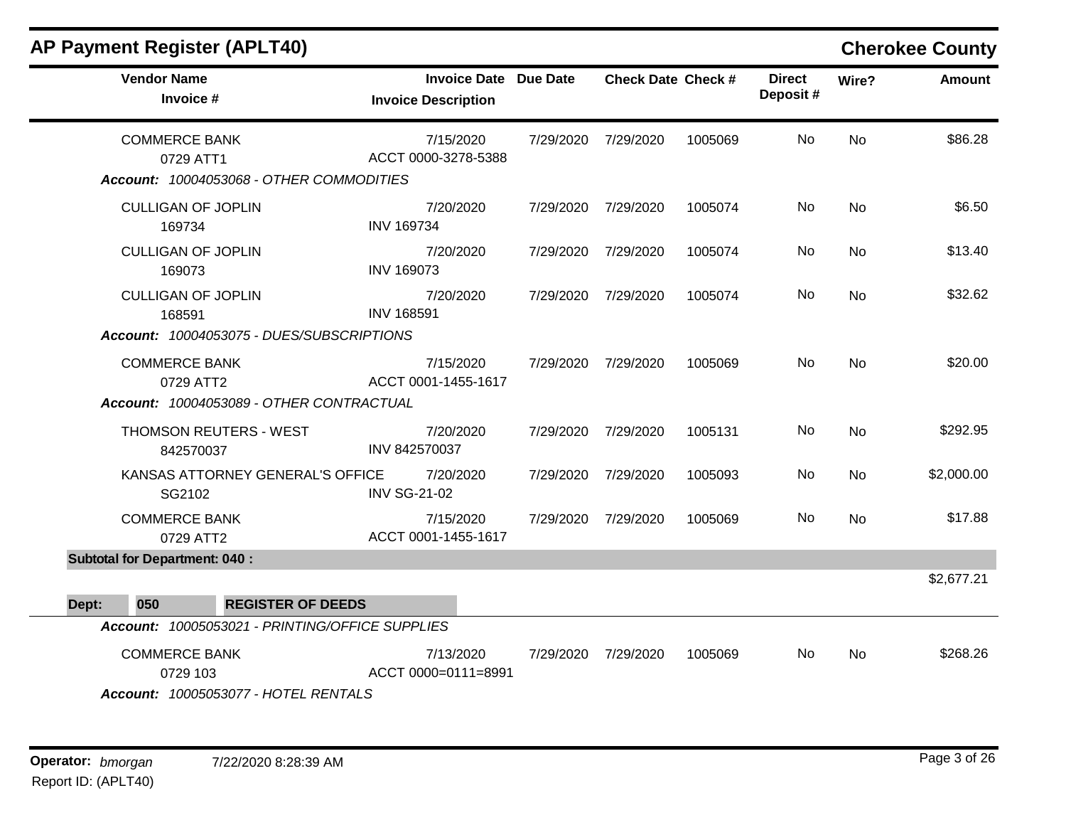| <b>Vendor Name</b><br>Invoice #                                          | <b>Invoice Date Due Date</b><br><b>Invoice Description</b> |           | <b>Check Date Check #</b> |         | <b>Direct</b><br>Deposit# | Wire?     | <b>Amount</b> |
|--------------------------------------------------------------------------|------------------------------------------------------------|-----------|---------------------------|---------|---------------------------|-----------|---------------|
| <b>COMMERCE BANK</b><br>0729 ATT1                                        | 7/15/2020<br>ACCT 0000-3278-5388                           |           | 7/29/2020 7/29/2020       | 1005069 | No                        | <b>No</b> | \$86.28       |
| Account: 10004053068 - OTHER COMMODITIES                                 |                                                            |           |                           |         |                           |           |               |
| <b>CULLIGAN OF JOPLIN</b><br>169734                                      | 7/20/2020<br><b>INV 169734</b>                             |           | 7/29/2020 7/29/2020       | 1005074 | No                        | <b>No</b> | \$6.50        |
| <b>CULLIGAN OF JOPLIN</b><br>169073                                      | 7/20/2020<br><b>INV 169073</b>                             |           | 7/29/2020 7/29/2020       | 1005074 | No                        | <b>No</b> | \$13.40       |
| <b>CULLIGAN OF JOPLIN</b><br>168591                                      | 7/20/2020<br><b>INV 168591</b>                             |           | 7/29/2020 7/29/2020       | 1005074 | No.                       | <b>No</b> | \$32.62       |
| Account: 10004053075 - DUES/SUBSCRIPTIONS                                |                                                            |           |                           |         |                           |           |               |
| <b>COMMERCE BANK</b><br>0729 ATT2                                        | 7/15/2020<br>ACCT 0001-1455-1617                           |           | 7/29/2020 7/29/2020       | 1005069 | No                        | No        | \$20.00       |
| Account: 10004053089 - OTHER CONTRACTUAL                                 |                                                            |           |                           |         |                           |           |               |
| THOMSON REUTERS - WEST<br>842570037                                      | 7/20/2020<br>INV 842570037                                 |           | 7/29/2020 7/29/2020       | 1005131 | No                        | <b>No</b> | \$292.95      |
| KANSAS ATTORNEY GENERAL'S OFFICE<br>SG2102                               | 7/20/2020<br><b>INV SG-21-02</b>                           | 7/29/2020 | 7/29/2020                 | 1005093 | No                        | <b>No</b> | \$2,000.00    |
| <b>COMMERCE BANK</b><br>0729 ATT2                                        | 7/15/2020<br>ACCT 0001-1455-1617                           | 7/29/2020 | 7/29/2020                 | 1005069 | No                        | No        | \$17.88       |
| <b>Subtotal for Department: 040:</b>                                     |                                                            |           |                           |         |                           |           |               |
|                                                                          |                                                            |           |                           |         |                           |           | \$2,677.21    |
| <b>REGISTER OF DEEDS</b><br>050<br>Dept:                                 |                                                            |           |                           |         |                           |           |               |
| Account: 10005053021 - PRINTING/OFFICE SUPPLIES                          |                                                            |           |                           |         |                           |           |               |
| <b>COMMERCE BANK</b><br>0729 103<br>Account: 10005053077 - HOTEL RENTALS | 7/13/2020<br>ACCT 0000=0111=8991                           |           | 7/29/2020 7/29/2020       | 1005069 | No                        | No        | \$268.26      |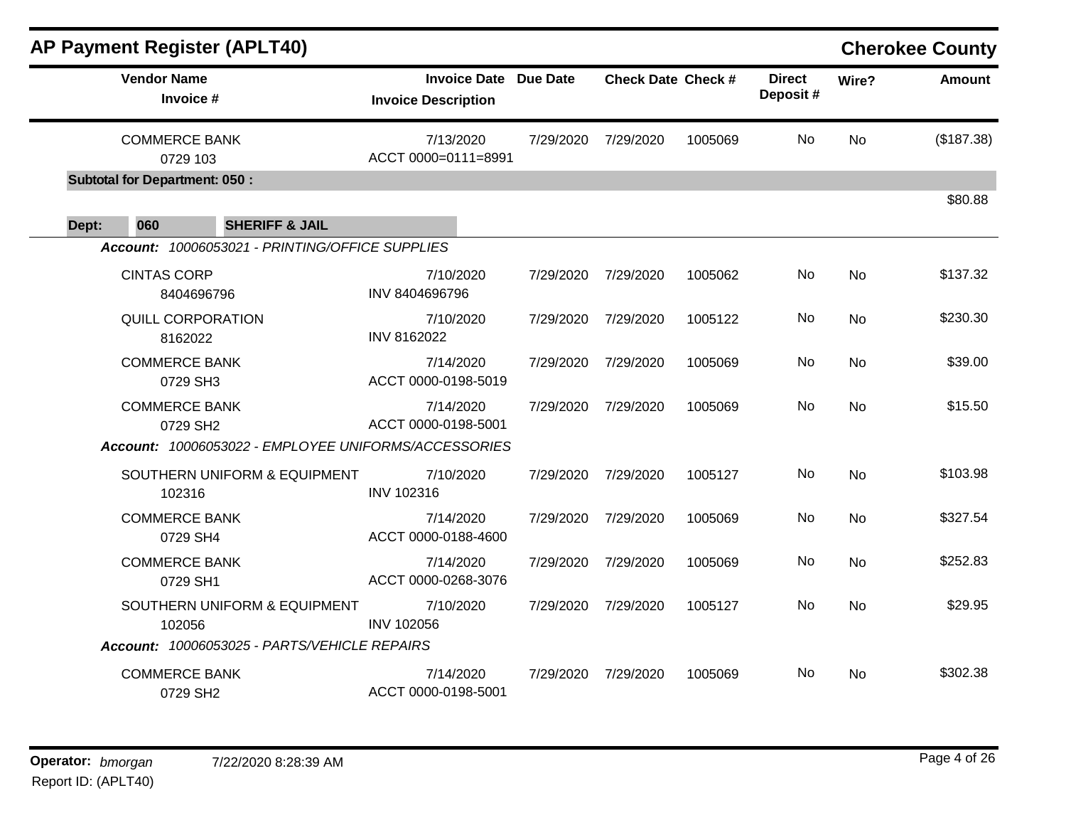|       |                                      | <b>AP Payment Register (APLT40)</b>                  |                                                   |           |                           |         |                           |           | <b>Cherokee County</b> |
|-------|--------------------------------------|------------------------------------------------------|---------------------------------------------------|-----------|---------------------------|---------|---------------------------|-----------|------------------------|
|       | <b>Vendor Name</b><br>Invoice #      |                                                      | <b>Invoice Date</b><br><b>Invoice Description</b> | Due Date  | <b>Check Date Check #</b> |         | <b>Direct</b><br>Deposit# | Wire?     | <b>Amount</b>          |
|       | <b>COMMERCE BANK</b><br>0729 103     |                                                      | 7/13/2020<br>ACCT 0000=0111=8991                  | 7/29/2020 | 7/29/2020                 | 1005069 | No                        | <b>No</b> | (\$187.38)             |
|       | <b>Subtotal for Department: 050:</b> |                                                      |                                                   |           |                           |         |                           |           |                        |
| Dept: | 060                                  | <b>SHERIFF &amp; JAIL</b>                            |                                                   |           |                           |         |                           |           | \$80.88                |
|       |                                      | Account: 10006053021 - PRINTING/OFFICE SUPPLIES      |                                                   |           |                           |         |                           |           |                        |
|       | <b>CINTAS CORP</b>                   | 8404696796                                           | 7/10/2020<br>INV 8404696796                       | 7/29/2020 | 7/29/2020                 | 1005062 | No                        | <b>No</b> | \$137.32               |
|       | <b>QUILL CORPORATION</b><br>8162022  |                                                      | 7/10/2020<br>INV 8162022                          | 7/29/2020 | 7/29/2020                 | 1005122 | No                        | No        | \$230.30               |
|       | <b>COMMERCE BANK</b><br>0729 SH3     |                                                      | 7/14/2020<br>ACCT 0000-0198-5019                  | 7/29/2020 | 7/29/2020                 | 1005069 | No                        | No        | \$39.00                |
|       | <b>COMMERCE BANK</b><br>0729 SH2     | Account: 10006053022 - EMPLOYEE UNIFORMS/ACCESSORIES | 7/14/2020<br>ACCT 0000-0198-5001                  | 7/29/2020 | 7/29/2020                 | 1005069 | No                        | No        | \$15.50                |
|       | 102316                               | SOUTHERN UNIFORM & EQUIPMENT                         | 7/10/2020<br>INV 102316                           | 7/29/2020 | 7/29/2020                 | 1005127 | No                        | <b>No</b> | \$103.98               |
|       | <b>COMMERCE BANK</b><br>0729 SH4     |                                                      | 7/14/2020<br>ACCT 0000-0188-4600                  | 7/29/2020 | 7/29/2020                 | 1005069 | No                        | <b>No</b> | \$327.54               |
|       | <b>COMMERCE BANK</b><br>0729 SH1     |                                                      | 7/14/2020<br>ACCT 0000-0268-3076                  | 7/29/2020 | 7/29/2020                 | 1005069 | No                        | No        | \$252.83               |
|       | 102056                               | SOUTHERN UNIFORM & EQUIPMENT                         | 7/10/2020<br><b>INV 102056</b>                    | 7/29/2020 | 7/29/2020                 | 1005127 | No                        | No        | \$29.95                |
|       |                                      | Account: 10006053025 - PARTS/VEHICLE REPAIRS         |                                                   |           |                           |         |                           |           |                        |
|       | <b>COMMERCE BANK</b><br>0729 SH2     |                                                      | 7/14/2020<br>ACCT 0000-0198-5001                  | 7/29/2020 | 7/29/2020                 | 1005069 | No                        | No        | \$302.38               |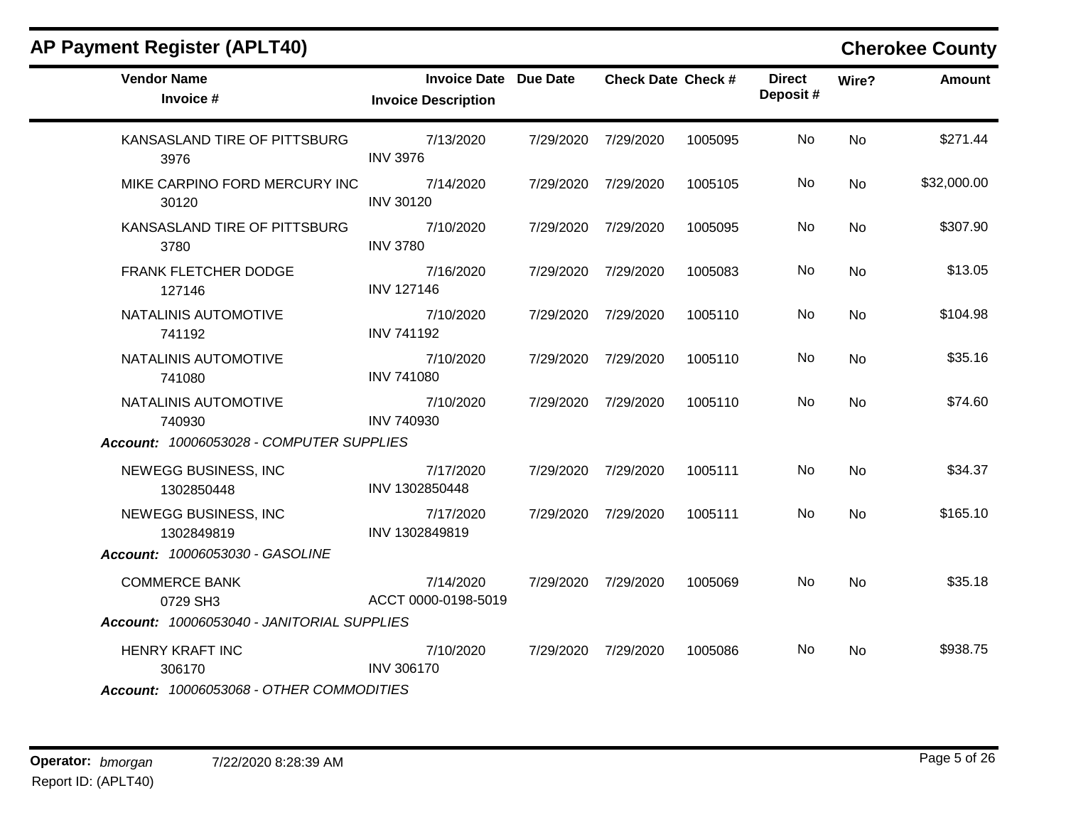|  |  |  | <b>AP Payment Register (APLT40)</b> |
|--|--|--|-------------------------------------|
|--|--|--|-------------------------------------|

### **Cherokee County**

| <b>Vendor Name</b><br>Invoice #            | <b>Invoice Date Due Date</b><br><b>Invoice Description</b> |           | <b>Check Date Check #</b> |         | <b>Direct</b><br>Deposit# | Wire?     | <b>Amount</b> |
|--------------------------------------------|------------------------------------------------------------|-----------|---------------------------|---------|---------------------------|-----------|---------------|
| KANSASLAND TIRE OF PITTSBURG<br>3976       | 7/13/2020<br><b>INV 3976</b>                               | 7/29/2020 | 7/29/2020                 | 1005095 | No.                       | No        | \$271.44      |
| MIKE CARPINO FORD MERCURY INC<br>30120     | 7/14/2020<br><b>INV 30120</b>                              |           | 7/29/2020 7/29/2020       | 1005105 | No.                       | <b>No</b> | \$32,000.00   |
| KANSASLAND TIRE OF PITTSBURG<br>3780       | 7/10/2020<br><b>INV 3780</b>                               | 7/29/2020 | 7/29/2020                 | 1005095 | No                        | <b>No</b> | \$307.90      |
| FRANK FLETCHER DODGE<br>127146             | 7/16/2020<br><b>INV 127146</b>                             |           | 7/29/2020 7/29/2020       | 1005083 | No.                       | No.       | \$13.05       |
| NATALINIS AUTOMOTIVE<br>741192             | 7/10/2020<br><b>INV 741192</b>                             |           | 7/29/2020 7/29/2020       | 1005110 | No.                       | <b>No</b> | \$104.98      |
| NATALINIS AUTOMOTIVE<br>741080             | 7/10/2020<br><b>INV 741080</b>                             |           | 7/29/2020 7/29/2020       | 1005110 | No                        | <b>No</b> | \$35.16       |
| NATALINIS AUTOMOTIVE<br>740930             | 7/10/2020<br><b>INV 740930</b>                             |           | 7/29/2020 7/29/2020       | 1005110 | No.                       | No.       | \$74.60       |
| Account: 10006053028 - COMPUTER SUPPLIES   |                                                            |           |                           |         |                           |           |               |
| NEWEGG BUSINESS, INC<br>1302850448         | 7/17/2020<br>INV 1302850448                                |           | 7/29/2020 7/29/2020       | 1005111 | No.                       | No        | \$34.37       |
| NEWEGG BUSINESS, INC<br>1302849819         | 7/17/2020<br>INV 1302849819                                |           | 7/29/2020 7/29/2020       | 1005111 | No                        | <b>No</b> | \$165.10      |
| <b>Account: 10006053030 - GASOLINE</b>     |                                                            |           |                           |         |                           |           |               |
| <b>COMMERCE BANK</b><br>0729 SH3           | 7/14/2020<br>ACCT 0000-0198-5019                           |           | 7/29/2020 7/29/2020       | 1005069 | No                        | <b>No</b> | \$35.18       |
| Account: 10006053040 - JANITORIAL SUPPLIES |                                                            |           |                           |         |                           |           |               |
| HENRY KRAFT INC<br>306170                  | 7/10/2020<br><b>INV 306170</b>                             |           | 7/29/2020 7/29/2020       | 1005086 | No.                       | No        | \$938.75      |
| Account: 10006053068 - OTHER COMMODITIES   |                                                            |           |                           |         |                           |           |               |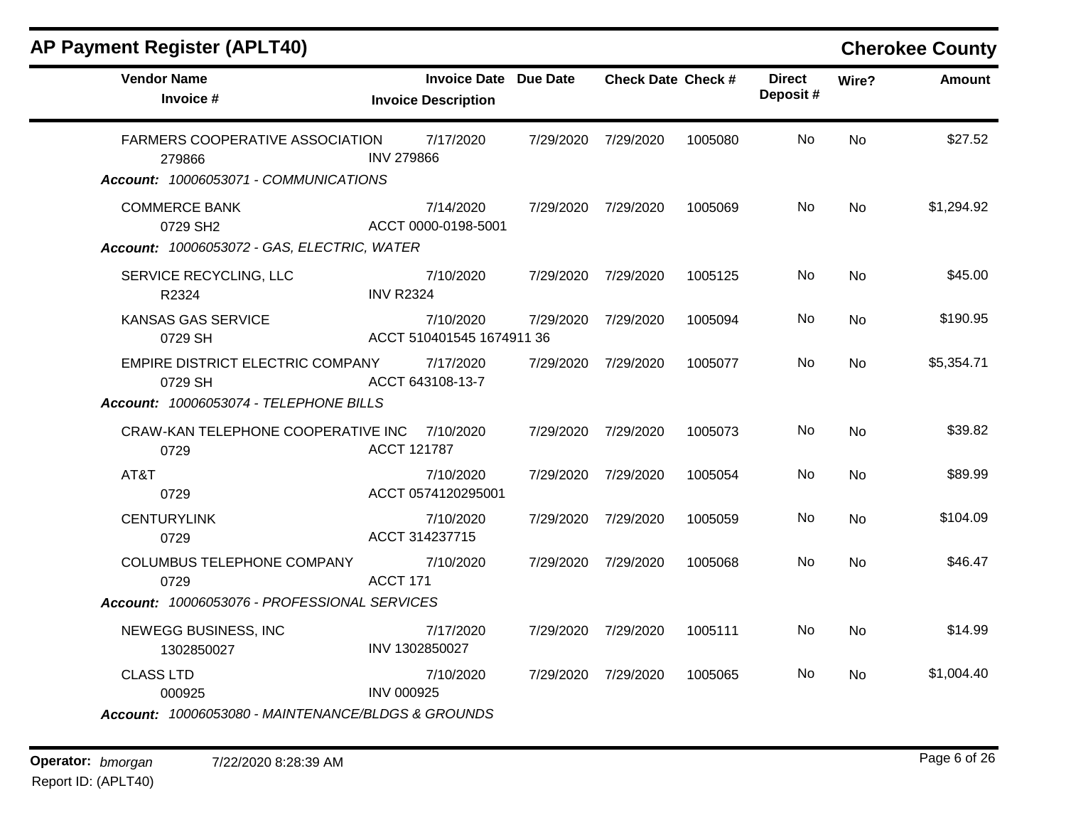| <b>Vendor Name</b><br>Invoice #                      | <b>Invoice Date Due Date</b><br><b>Invoice Description</b> | <b>Check Date Check #</b> |         | <b>Direct</b><br>Deposit# | Wire?          | Amount     |
|------------------------------------------------------|------------------------------------------------------------|---------------------------|---------|---------------------------|----------------|------------|
| FARMERS COOPERATIVE ASSOCIATION<br>279866            | 7/17/2020<br><b>INV 279866</b>                             | 7/29/2020 7/29/2020       | 1005080 | No.                       | N <sub>o</sub> | \$27.52    |
| Account: 10006053071 - COMMUNICATIONS                |                                                            |                           |         |                           |                |            |
| <b>COMMERCE BANK</b><br>0729 SH2                     | 7/14/2020<br>ACCT 0000-0198-5001                           | 7/29/2020 7/29/2020       | 1005069 | No.                       | <b>No</b>      | \$1,294.92 |
| Account: 10006053072 - GAS, ELECTRIC, WATER          |                                                            |                           |         |                           |                |            |
| SERVICE RECYCLING, LLC<br>R2324                      | 7/10/2020<br><b>INV R2324</b>                              | 7/29/2020 7/29/2020       | 1005125 | No.                       | <b>No</b>      | \$45.00    |
| <b>KANSAS GAS SERVICE</b><br>0729 SH                 | 7/10/2020<br>ACCT 510401545 1674911 36                     | 7/29/2020 7/29/2020       | 1005094 | No.                       | N <sub>o</sub> | \$190.95   |
| EMPIRE DISTRICT ELECTRIC COMPANY<br>0729 SH          | 7/17/2020<br>ACCT 643108-13-7                              | 7/29/2020 7/29/2020       | 1005077 | <b>No</b>                 | <b>No</b>      | \$5,354.71 |
| Account: 10006053074 - TELEPHONE BILLS               |                                                            |                           |         |                           |                |            |
| CRAW-KAN TELEPHONE COOPERATIVE INC 7/10/2020<br>0729 | <b>ACCT 121787</b>                                         | 7/29/2020 7/29/2020       | 1005073 | No.                       | <b>No</b>      | \$39.82    |
| AT&T<br>0729                                         | 7/10/2020<br>ACCT 0574120295001                            | 7/29/2020 7/29/2020       | 1005054 | No.                       | <b>No</b>      | \$89.99    |
| <b>CENTURYLINK</b><br>0729                           | 7/10/2020<br>ACCT 314237715                                | 7/29/2020 7/29/2020       | 1005059 | No.                       | No.            | \$104.09   |
| COLUMBUS TELEPHONE COMPANY<br>0729                   | 7/10/2020<br><b>ACCT 171</b>                               | 7/29/2020 7/29/2020       | 1005068 | No.                       | N <sub>o</sub> | \$46.47    |
| Account: 10006053076 - PROFESSIONAL SERVICES         |                                                            |                           |         |                           |                |            |
| NEWEGG BUSINESS, INC<br>1302850027                   | 7/17/2020<br>INV 1302850027                                | 7/29/2020 7/29/2020       | 1005111 | No.                       | <b>No</b>      | \$14.99    |
| <b>CLASS LTD</b><br>000925                           | 7/10/2020<br><b>INV 000925</b>                             | 7/29/2020 7/29/2020       | 1005065 | No.                       | No.            | \$1,004.40 |
| Account: 10006053080 - MAINTENANCE/BLDGS & GROUNDS   |                                                            |                           |         |                           |                |            |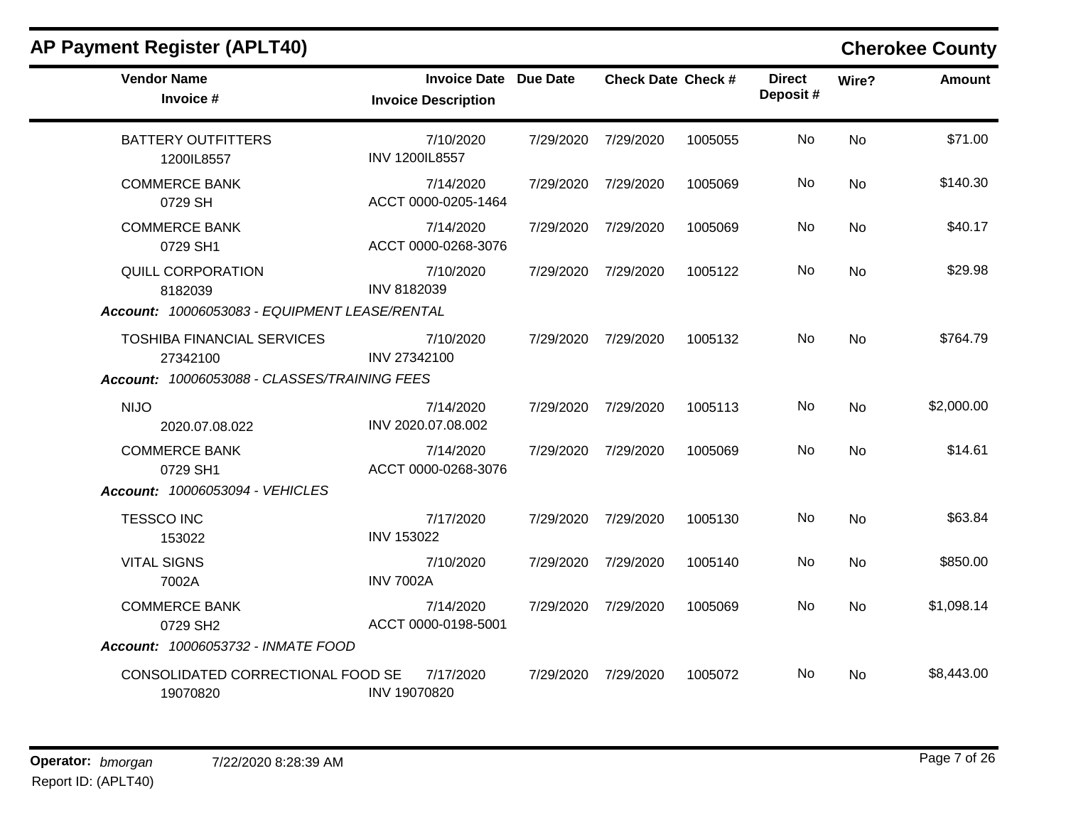| <b>Vendor Name</b><br>Invoice #               | <b>Invoice Date Due Date</b><br><b>Invoice Description</b> |           | <b>Check Date Check #</b> |         | <b>Direct</b><br>Deposit# | Wire?     | <b>Amount</b> |
|-----------------------------------------------|------------------------------------------------------------|-----------|---------------------------|---------|---------------------------|-----------|---------------|
| <b>BATTERY OUTFITTERS</b><br>1200IL8557       | 7/10/2020<br>INV 1200IL8557                                |           | 7/29/2020 7/29/2020       | 1005055 | No.                       | <b>No</b> | \$71.00       |
| <b>COMMERCE BANK</b><br>0729 SH               | 7/14/2020<br>ACCT 0000-0205-1464                           | 7/29/2020 | 7/29/2020                 | 1005069 | No                        | <b>No</b> | \$140.30      |
| <b>COMMERCE BANK</b><br>0729 SH1              | 7/14/2020<br>ACCT 0000-0268-3076                           |           | 7/29/2020 7/29/2020       | 1005069 | No.                       | <b>No</b> | \$40.17       |
| <b>QUILL CORPORATION</b><br>8182039           | 7/10/2020<br>INV 8182039                                   |           | 7/29/2020 7/29/2020       | 1005122 | No                        | <b>No</b> | \$29.98       |
| Account: 10006053083 - EQUIPMENT LEASE/RENTAL |                                                            |           |                           |         |                           |           |               |
| <b>TOSHIBA FINANCIAL SERVICES</b><br>27342100 | 7/10/2020<br>INV 27342100                                  |           | 7/29/2020 7/29/2020       | 1005132 | No                        | <b>No</b> | \$764.79      |
| Account: 10006053088 - CLASSES/TRAINING FEES  |                                                            |           |                           |         |                           |           |               |
| <b>NIJO</b><br>2020.07.08.022                 | 7/14/2020<br>INV 2020.07.08.002                            |           | 7/29/2020 7/29/2020       | 1005113 | No                        | <b>No</b> | \$2,000.00    |
| <b>COMMERCE BANK</b><br>0729 SH1              | 7/14/2020<br>ACCT 0000-0268-3076                           |           | 7/29/2020 7/29/2020       | 1005069 | No                        | <b>No</b> | \$14.61       |
| Account: 10006053094 - VEHICLES               |                                                            |           |                           |         |                           |           |               |
| <b>TESSCO INC</b><br>153022                   | 7/17/2020<br><b>INV 153022</b>                             |           | 7/29/2020 7/29/2020       | 1005130 | No                        | <b>No</b> | \$63.84       |
| <b>VITAL SIGNS</b><br>7002A                   | 7/10/2020<br><b>INV 7002A</b>                              |           | 7/29/2020 7/29/2020       | 1005140 | No                        | <b>No</b> | \$850.00      |
| <b>COMMERCE BANK</b><br>0729 SH2              | 7/14/2020<br>ACCT 0000-0198-5001                           |           | 7/29/2020 7/29/2020       | 1005069 | No                        | <b>No</b> | \$1,098.14    |
| Account: 10006053732 - INMATE FOOD            |                                                            |           |                           |         |                           |           |               |
| CONSOLIDATED CORRECTIONAL FOOD SE<br>19070820 | 7/17/2020<br><b>INV 19070820</b>                           |           | 7/29/2020 7/29/2020       | 1005072 | No.                       | No        | \$8,443.00    |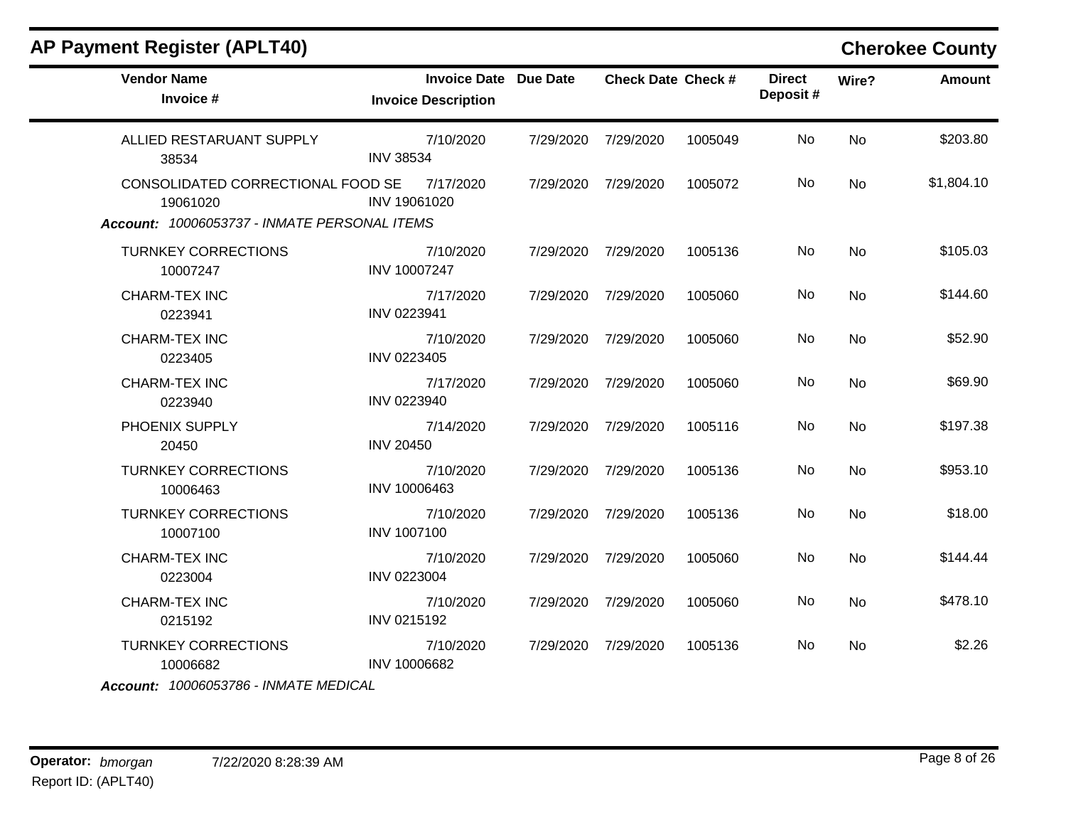| <b>Vendor Name</b><br>Invoice #                                                               | <b>Invoice Date Due Date</b><br><b>Invoice Description</b> |           | <b>Check Date Check #</b> |         | <b>Direct</b><br>Deposit# | Wire?     | <b>Amount</b> |
|-----------------------------------------------------------------------------------------------|------------------------------------------------------------|-----------|---------------------------|---------|---------------------------|-----------|---------------|
| ALLIED RESTARUANT SUPPLY<br>38534                                                             | 7/10/2020<br><b>INV 38534</b>                              | 7/29/2020 | 7/29/2020                 | 1005049 | No                        | <b>No</b> | \$203.80      |
| CONSOLIDATED CORRECTIONAL FOOD SE<br>19061020<br>Account: 10006053737 - INMATE PERSONAL ITEMS | 7/17/2020<br>INV 19061020                                  | 7/29/2020 | 7/29/2020                 | 1005072 | No.                       | <b>No</b> | \$1,804.10    |
| <b>TURNKEY CORRECTIONS</b><br>10007247                                                        | 7/10/2020<br>INV 10007247                                  |           | 7/29/2020 7/29/2020       | 1005136 | No                        | <b>No</b> | \$105.03      |
| <b>CHARM-TEX INC</b><br>0223941                                                               | 7/17/2020<br>INV 0223941                                   |           | 7/29/2020 7/29/2020       | 1005060 | No                        | <b>No</b> | \$144.60      |
| CHARM-TEX INC<br>0223405                                                                      | 7/10/2020<br>INV 0223405                                   | 7/29/2020 | 7/29/2020                 | 1005060 | <b>No</b>                 | No        | \$52.90       |
| <b>CHARM-TEX INC</b><br>0223940                                                               | 7/17/2020<br>INV 0223940                                   | 7/29/2020 | 7/29/2020                 | 1005060 | No.                       | <b>No</b> | \$69.90       |
| PHOENIX SUPPLY<br>20450                                                                       | 7/14/2020<br><b>INV 20450</b>                              | 7/29/2020 | 7/29/2020                 | 1005116 | No.                       | <b>No</b> | \$197.38      |
| <b>TURNKEY CORRECTIONS</b><br>10006463                                                        | 7/10/2020<br>INV 10006463                                  | 7/29/2020 | 7/29/2020                 | 1005136 | No.                       | <b>No</b> | \$953.10      |
| <b>TURNKEY CORRECTIONS</b><br>10007100                                                        | 7/10/2020<br><b>INV 1007100</b>                            | 7/29/2020 | 7/29/2020                 | 1005136 | No.                       | No        | \$18.00       |
| <b>CHARM-TEX INC</b><br>0223004                                                               | 7/10/2020<br>INV 0223004                                   | 7/29/2020 | 7/29/2020                 | 1005060 | No.                       | <b>No</b> | \$144.44      |
| CHARM-TEX INC<br>0215192                                                                      | 7/10/2020<br>INV 0215192                                   | 7/29/2020 | 7/29/2020                 | 1005060 | No.                       | <b>No</b> | \$478.10      |
| <b>TURNKEY CORRECTIONS</b><br>10006682<br>$A$ ccount: 10006053786 - INIMATE MEDICAL           | 7/10/2020<br>INV 10006682                                  | 7/29/2020 | 7/29/2020                 | 1005136 | No.                       | No        | \$2.26        |

*Account: 10006053786 - INMATE MEDICAL*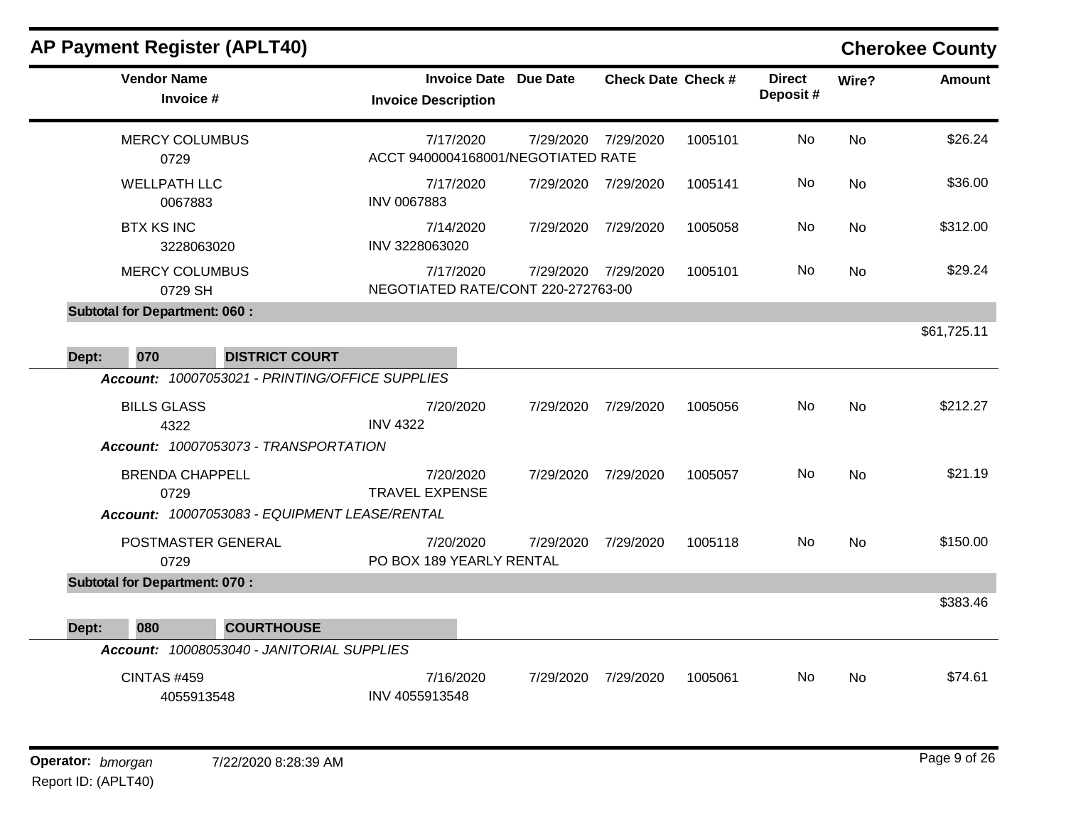| <b>AP Payment Register (APLT40)</b>             |                                                            |           |                           |         |                           |                | <b>Cherokee County</b> |
|-------------------------------------------------|------------------------------------------------------------|-----------|---------------------------|---------|---------------------------|----------------|------------------------|
| <b>Vendor Name</b><br>Invoice #                 | <b>Invoice Date Due Date</b><br><b>Invoice Description</b> |           | <b>Check Date Check #</b> |         | <b>Direct</b><br>Deposit# | Wire?          | Amount                 |
| <b>MERCY COLUMBUS</b><br>0729                   | 7/17/2020<br>ACCT 9400004168001/NEGOTIATED RATE            | 7/29/2020 | 7/29/2020                 | 1005101 | No                        | <b>No</b>      | \$26.24                |
| <b>WELLPATH LLC</b><br>0067883                  | 7/17/2020<br>INV 0067883                                   | 7/29/2020 | 7/29/2020                 | 1005141 | No                        | <b>No</b>      | \$36.00                |
| <b>BTX KS INC</b><br>3228063020                 | 7/14/2020<br>INV 3228063020                                | 7/29/2020 | 7/29/2020                 | 1005058 | No.                       | <b>No</b>      | \$312.00               |
| <b>MERCY COLUMBUS</b><br>0729 SH                | 7/17/2020<br>NEGOTIATED RATE/CONT 220-272763-00            | 7/29/2020 | 7/29/2020                 | 1005101 | No.                       | No             | \$29.24                |
| <b>Subtotal for Department: 060:</b>            |                                                            |           |                           |         |                           |                |                        |
| 070<br><b>DISTRICT COURT</b><br>Dept:           |                                                            |           |                           |         |                           |                | \$61,725.11            |
| Account: 10007053021 - PRINTING/OFFICE SUPPLIES |                                                            |           |                           |         |                           |                |                        |
| <b>BILLS GLASS</b><br>4322                      | 7/20/2020<br><b>INV 4322</b>                               | 7/29/2020 | 7/29/2020                 | 1005056 | No                        | <b>No</b>      | \$212.27               |
| Account: 10007053073 - TRANSPORTATION           |                                                            |           |                           |         |                           |                |                        |
| <b>BRENDA CHAPPELL</b><br>0729                  | 7/20/2020<br><b>TRAVEL EXPENSE</b>                         | 7/29/2020 | 7/29/2020                 | 1005057 | No.                       | N <sub>o</sub> | \$21.19                |
| Account: 10007053083 - EQUIPMENT LEASE/RENTAL   |                                                            |           |                           |         |                           |                |                        |
| POSTMASTER GENERAL<br>0729                      | 7/20/2020<br>PO BOX 189 YEARLY RENTAL                      | 7/29/2020 | 7/29/2020                 | 1005118 | No.                       | <b>No</b>      | \$150.00               |
| <b>Subtotal for Department: 070:</b>            |                                                            |           |                           |         |                           |                |                        |
| 080<br><b>COURTHOUSE</b><br>Dept:               |                                                            |           |                           |         |                           |                | \$383.46               |
| Account: 10008053040 - JANITORIAL SUPPLIES      |                                                            |           |                           |         |                           |                |                        |
| <b>CINTAS #459</b><br>4055913548                | 7/16/2020<br>INV 4055913548                                | 7/29/2020 | 7/29/2020                 | 1005061 | No.                       | <b>No</b>      | \$74.61                |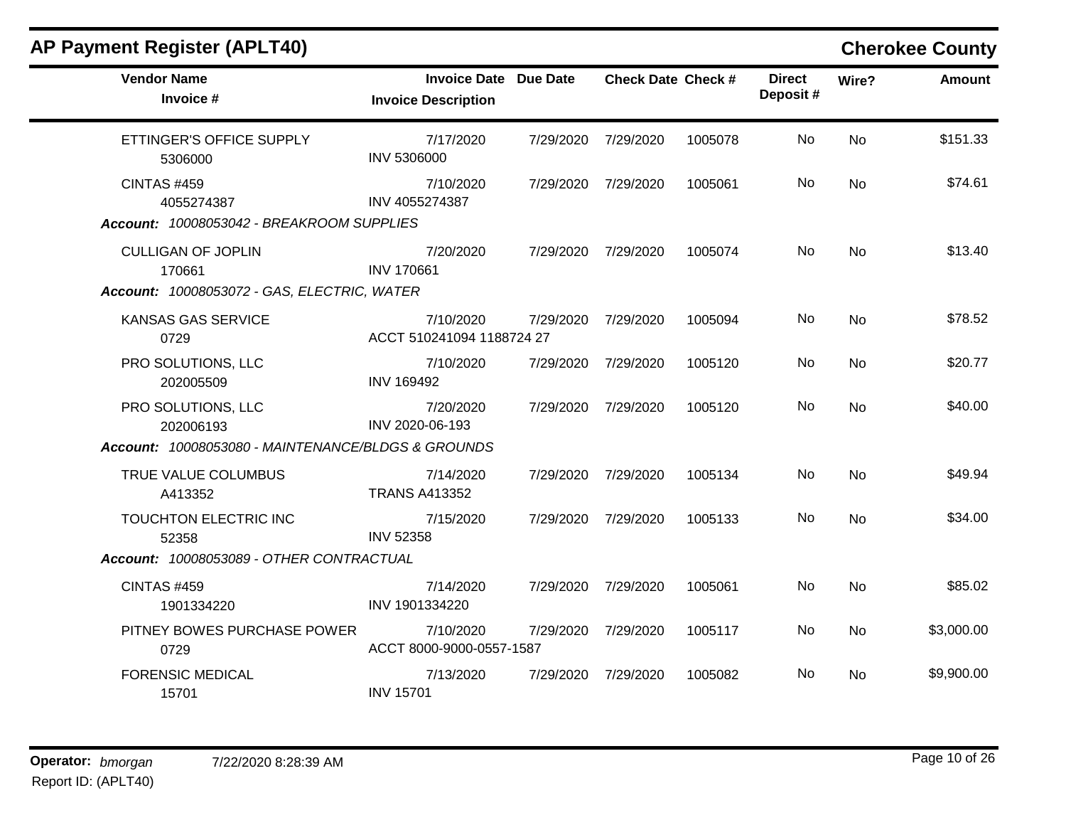| <b>AP Payment Register (APLT40)</b>                                                   |                                                            |                           |         |                           |                | <b>Cherokee County</b> |
|---------------------------------------------------------------------------------------|------------------------------------------------------------|---------------------------|---------|---------------------------|----------------|------------------------|
| <b>Vendor Name</b><br>Invoice #                                                       | <b>Invoice Date Due Date</b><br><b>Invoice Description</b> | <b>Check Date Check #</b> |         | <b>Direct</b><br>Deposit# | Wire?          | <b>Amount</b>          |
| ETTINGER'S OFFICE SUPPLY<br>5306000                                                   | 7/17/2020<br><b>INV 5306000</b>                            | 7/29/2020 7/29/2020       | 1005078 | <b>No</b>                 | No             | \$151.33               |
| <b>CINTAS #459</b><br>4055274387<br>Account: 10008053042 - BREAKROOM SUPPLIES         | 7/10/2020<br>INV 4055274387                                | 7/29/2020 7/29/2020       | 1005061 | No                        | <b>No</b>      | \$74.61                |
| <b>CULLIGAN OF JOPLIN</b><br>170661<br>Account: 10008053072 - GAS, ELECTRIC, WATER    | 7/20/2020<br><b>INV 170661</b>                             | 7/29/2020 7/29/2020       | 1005074 | No                        | <b>No</b>      | \$13.40                |
| <b>KANSAS GAS SERVICE</b><br>0729                                                     | 7/10/2020<br>ACCT 510241094 1188724 27                     | 7/29/2020 7/29/2020       | 1005094 | No.                       | No             | \$78.52                |
| PRO SOLUTIONS, LLC<br>202005509                                                       | 7/10/2020<br><b>INV 169492</b>                             | 7/29/2020 7/29/2020       | 1005120 | No                        | <b>No</b>      | \$20.77                |
| PRO SOLUTIONS, LLC<br>202006193<br>Account: 10008053080 - MAINTENANCE/BLDGS & GROUNDS | 7/20/2020<br>INV 2020-06-193                               | 7/29/2020 7/29/2020       | 1005120 | No.                       | N <sub>o</sub> | \$40.00                |
| TRUE VALUE COLUMBUS<br>A413352                                                        | 7/14/2020<br><b>TRANS A413352</b>                          | 7/29/2020 7/29/2020       | 1005134 | No                        | <b>No</b>      | \$49.94                |
| TOUCHTON ELECTRIC INC<br>52358                                                        | 7/15/2020<br><b>INV 52358</b>                              | 7/29/2020 7/29/2020       | 1005133 | No.                       | <b>No</b>      | \$34.00                |
| Account: 10008053089 - OTHER CONTRACTUAL                                              |                                                            |                           |         |                           |                |                        |
| <b>CINTAS #459</b><br>1901334220                                                      | 7/14/2020<br>INV 1901334220                                | 7/29/2020 7/29/2020       | 1005061 | No                        | No             | \$85.02                |
| PITNEY BOWES PURCHASE POWER<br>0729                                                   | 7/10/2020<br>ACCT 8000-9000-0557-1587                      | 7/29/2020 7/29/2020       | 1005117 | No.                       | <b>No</b>      | \$3,000.00             |
| <b>FORENSIC MEDICAL</b><br>15701                                                      | 7/13/2020<br><b>INV 15701</b>                              | 7/29/2020 7/29/2020       | 1005082 | No.                       | No.            | \$9,900.00             |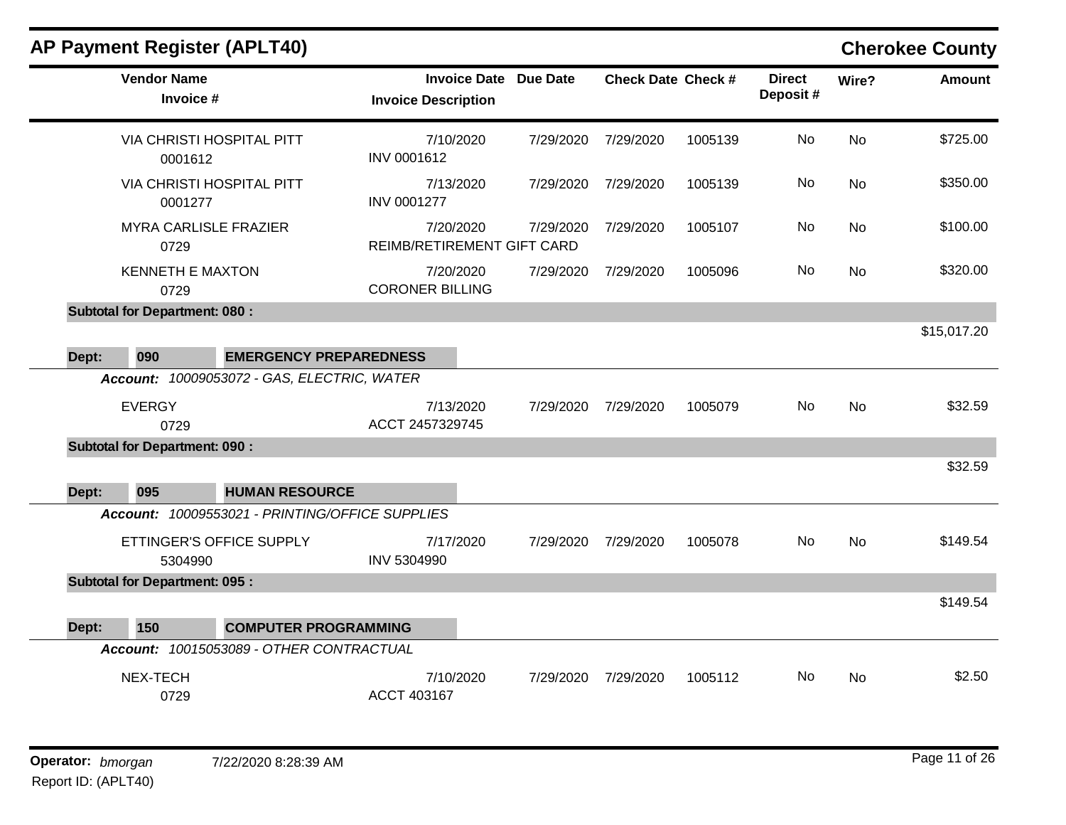|       |                                      | <b>AP Payment Register (APLT40)</b>                                      |                                                   |                 |                           |         |                           |                | <b>Cherokee County</b> |
|-------|--------------------------------------|--------------------------------------------------------------------------|---------------------------------------------------|-----------------|---------------------------|---------|---------------------------|----------------|------------------------|
|       | <b>Vendor Name</b><br>Invoice #      |                                                                          | <b>Invoice Date</b><br><b>Invoice Description</b> | <b>Due Date</b> | <b>Check Date Check #</b> |         | <b>Direct</b><br>Deposit# | Wire?          | <b>Amount</b>          |
|       | 0001612                              | <b>VIA CHRISTI HOSPITAL PITT</b>                                         | 7/10/2020<br>INV 0001612                          | 7/29/2020       | 7/29/2020                 | 1005139 | No                        | <b>No</b>      | \$725.00               |
|       | 0001277                              | <b>VIA CHRISTI HOSPITAL PITT</b>                                         | 7/13/2020<br><b>INV 0001277</b>                   | 7/29/2020       | 7/29/2020                 | 1005139 | No                        | <b>No</b>      | \$350.00               |
|       | 0729                                 | <b>MYRA CARLISLE FRAZIER</b>                                             | 7/20/2020<br>REIMB/RETIREMENT GIFT CARD           | 7/29/2020       | 7/29/2020                 | 1005107 | No                        | No             | \$100.00               |
|       | <b>KENNETH E MAXTON</b><br>0729      |                                                                          | 7/20/2020<br><b>CORONER BILLING</b>               | 7/29/2020       | 7/29/2020                 | 1005096 | No                        | No             | \$320.00               |
|       | <b>Subtotal for Department: 080:</b> |                                                                          |                                                   |                 |                           |         |                           |                |                        |
|       |                                      |                                                                          |                                                   |                 |                           |         |                           |                | \$15,017.20            |
| Dept: | 090                                  | <b>EMERGENCY PREPAREDNESS</b>                                            |                                                   |                 |                           |         |                           |                |                        |
|       |                                      | Account: 10009053072 - GAS, ELECTRIC, WATER                              |                                                   |                 |                           |         |                           |                |                        |
|       | <b>EVERGY</b><br>0729                |                                                                          | 7/13/2020<br>ACCT 2457329745                      | 7/29/2020       | 7/29/2020                 | 1005079 | No.                       | No             | \$32.59                |
|       | <b>Subtotal for Department: 090:</b> |                                                                          |                                                   |                 |                           |         |                           |                |                        |
|       |                                      |                                                                          |                                                   |                 |                           |         |                           |                | \$32.59                |
| Dept: | 095                                  | <b>HUMAN RESOURCE</b><br>Account: 10009553021 - PRINTING/OFFICE SUPPLIES |                                                   |                 |                           |         |                           |                |                        |
|       |                                      |                                                                          |                                                   |                 |                           |         |                           |                |                        |
|       | 5304990                              | ETTINGER'S OFFICE SUPPLY                                                 | 7/17/2020<br>INV 5304990                          | 7/29/2020       | 7/29/2020                 | 1005078 | No.                       | N <sub>o</sub> | \$149.54               |
|       | <b>Subtotal for Department: 095:</b> |                                                                          |                                                   |                 |                           |         |                           |                |                        |
|       |                                      |                                                                          |                                                   |                 |                           |         |                           |                | \$149.54               |
| Dept: | 150                                  | <b>COMPUTER PROGRAMMING</b>                                              |                                                   |                 |                           |         |                           |                |                        |
|       |                                      | Account: 10015053089 - OTHER CONTRACTUAL                                 |                                                   |                 |                           |         |                           |                |                        |
|       | NEX-TECH<br>0729                     |                                                                          | 7/10/2020<br>ACCT 403167                          | 7/29/2020       | 7/29/2020                 | 1005112 | No.                       | No             | \$2.50                 |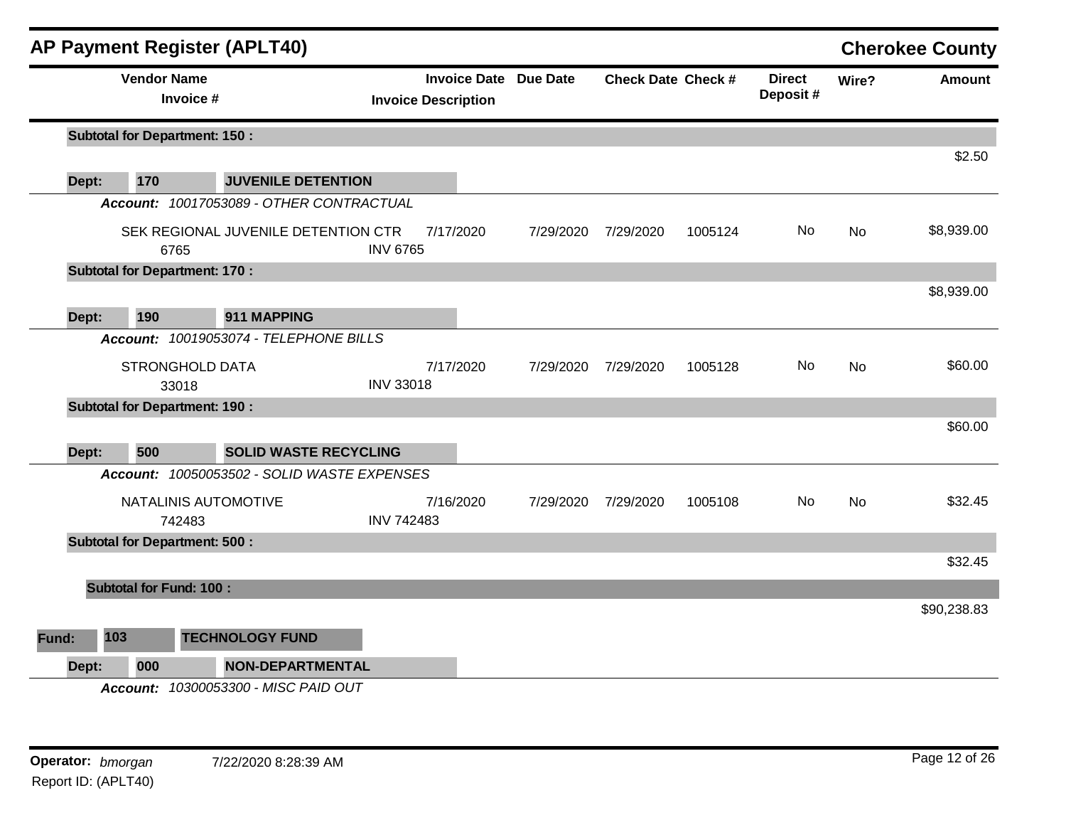|              |                                | <b>AP Payment Register (APLT40)</b>         |                   |                                                            |           |                           |         |                           |           | <b>Cherokee County</b> |
|--------------|--------------------------------|---------------------------------------------|-------------------|------------------------------------------------------------|-----------|---------------------------|---------|---------------------------|-----------|------------------------|
|              | <b>Vendor Name</b>             | Invoice #                                   |                   | <b>Invoice Date Due Date</b><br><b>Invoice Description</b> |           | <b>Check Date Check #</b> |         | <b>Direct</b><br>Deposit# | Wire?     | <b>Amount</b>          |
|              |                                | <b>Subtotal for Department: 150:</b>        |                   |                                                            |           |                           |         |                           |           |                        |
|              |                                |                                             |                   |                                                            |           |                           |         |                           |           | \$2.50                 |
|              | 170<br>Dept:                   | <b>JUVENILE DETENTION</b>                   |                   |                                                            |           |                           |         |                           |           |                        |
|              |                                | Account: 10017053089 - OTHER CONTRACTUAL    |                   |                                                            |           |                           |         |                           |           |                        |
|              |                                | SEK REGIONAL JUVENILE DETENTION CTR<br>6765 | <b>INV 6765</b>   | 7/17/2020                                                  | 7/29/2020 | 7/29/2020                 | 1005124 | No.                       | No        | \$8,939.00             |
|              |                                | <b>Subtotal for Department: 170:</b>        |                   |                                                            |           |                           |         |                           |           |                        |
|              |                                |                                             |                   |                                                            |           |                           |         |                           |           | \$8,939.00             |
|              | 190<br>Dept:                   | 911 MAPPING                                 |                   |                                                            |           |                           |         |                           |           |                        |
|              |                                | Account: 10019053074 - TELEPHONE BILLS      |                   |                                                            |           |                           |         |                           |           |                        |
|              |                                | <b>STRONGHOLD DATA</b>                      |                   | 7/17/2020                                                  | 7/29/2020 | 7/29/2020                 | 1005128 | No.                       | No        | \$60.00                |
|              |                                | 33018                                       | <b>INV 33018</b>  |                                                            |           |                           |         |                           |           |                        |
|              |                                | <b>Subtotal for Department: 190:</b>        |                   |                                                            |           |                           |         |                           |           |                        |
|              |                                |                                             |                   |                                                            |           |                           |         |                           |           | \$60.00                |
|              | 500<br>Dept:                   | <b>SOLID WASTE RECYCLING</b>                |                   |                                                            |           |                           |         |                           |           |                        |
|              |                                | Account: 10050053502 - SOLID WASTE EXPENSES |                   |                                                            |           |                           |         |                           |           |                        |
|              |                                | NATALINIS AUTOMOTIVE                        |                   | 7/16/2020                                                  | 7/29/2020 | 7/29/2020                 | 1005108 | No                        | <b>No</b> | \$32.45                |
|              |                                | 742483                                      | <b>INV 742483</b> |                                                            |           |                           |         |                           |           |                        |
|              |                                | <b>Subtotal for Department: 500:</b>        |                   |                                                            |           |                           |         |                           |           | \$32.45                |
|              |                                |                                             |                   |                                                            |           |                           |         |                           |           |                        |
|              | <b>Subtotal for Fund: 100:</b> |                                             |                   |                                                            |           |                           |         |                           |           | \$90,238.83            |
|              |                                |                                             |                   |                                                            |           |                           |         |                           |           |                        |
| <b>Fund:</b> | 103                            | <b>TECHNOLOGY FUND</b>                      |                   |                                                            |           |                           |         |                           |           |                        |
|              | Dept:<br>000                   | <b>NON-DEPARTMENTAL</b>                     |                   |                                                            |           |                           |         |                           |           |                        |
|              |                                | Account: 10300053300 - MISC PAID OUT        |                   |                                                            |           |                           |         |                           |           |                        |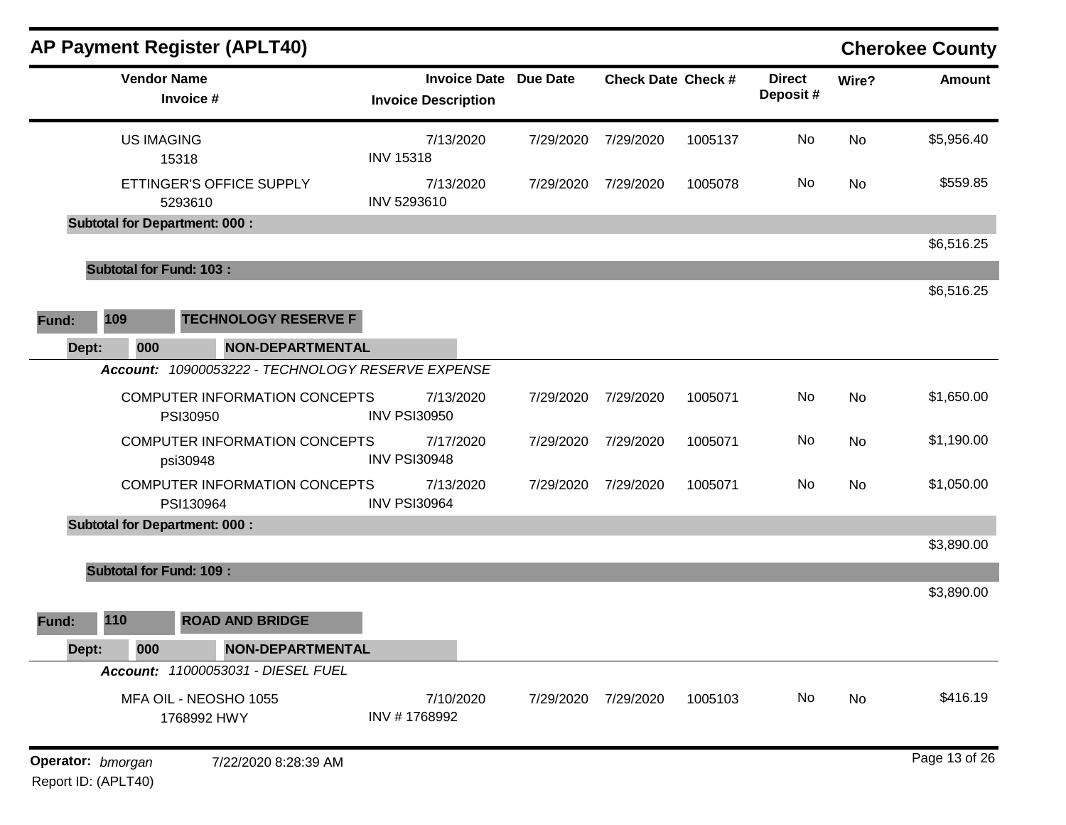|                   |                                | <b>AP Payment Register (APLT40)</b>               |                                                            |           |                           |         |                           |       | <b>Cherokee County</b> |
|-------------------|--------------------------------|---------------------------------------------------|------------------------------------------------------------|-----------|---------------------------|---------|---------------------------|-------|------------------------|
|                   |                                | <b>Vendor Name</b><br>Invoice #                   | <b>Invoice Date Due Date</b><br><b>Invoice Description</b> |           | <b>Check Date Check #</b> |         | <b>Direct</b><br>Deposit# | Wire? | <b>Amount</b>          |
|                   | <b>US IMAGING</b>              | 15318                                             | 7/13/2020<br><b>INV 15318</b>                              | 7/29/2020 | 7/29/2020                 | 1005137 | No                        | No    | \$5,956.40             |
|                   |                                | ETTINGER'S OFFICE SUPPLY<br>5293610               | 7/13/2020<br>INV 5293610                                   | 7/29/2020 | 7/29/2020                 | 1005078 | No                        | No    | \$559.85               |
|                   |                                | <b>Subtotal for Department: 000:</b>              |                                                            |           |                           |         |                           |       |                        |
|                   |                                |                                                   |                                                            |           |                           |         |                           |       | \$6,516.25             |
|                   | <b>Subtotal for Fund: 103:</b> |                                                   |                                                            |           |                           |         |                           |       |                        |
| Fund:             | 109                            | <b>TECHNOLOGY RESERVE F</b>                       |                                                            |           |                           |         |                           |       | \$6,516.25             |
| Dept:             | 000                            | <b>NON-DEPARTMENTAL</b>                           |                                                            |           |                           |         |                           |       |                        |
|                   |                                | Account: 10900053222 - TECHNOLOGY RESERVE EXPENSE |                                                            |           |                           |         |                           |       |                        |
|                   |                                | COMPUTER INFORMATION CONCEPTS<br>PSI30950         | 7/13/2020<br><b>INV PSI30950</b>                           | 7/29/2020 | 7/29/2020                 | 1005071 | No                        | No    | \$1,650.00             |
|                   |                                | COMPUTER INFORMATION CONCEPTS<br>psi30948         | 7/17/2020<br><b>INV PSI30948</b>                           | 7/29/2020 | 7/29/2020                 | 1005071 | No                        | No    | \$1,190.00             |
|                   |                                | COMPUTER INFORMATION CONCEPTS<br>PSI130964        | 7/13/2020<br><b>INV PSI30964</b>                           | 7/29/2020 | 7/29/2020                 | 1005071 | No                        | No    | \$1,050.00             |
|                   |                                | <b>Subtotal for Department: 000:</b>              |                                                            |           |                           |         |                           |       |                        |
|                   |                                |                                                   |                                                            |           |                           |         |                           |       | \$3,890.00             |
|                   | <b>Subtotal for Fund: 109:</b> |                                                   |                                                            |           |                           |         |                           |       | \$3,890.00             |
| Fund:             | 110                            | <b>ROAD AND BRIDGE</b>                            |                                                            |           |                           |         |                           |       |                        |
| Dept:             | 000                            | <b>NON-DEPARTMENTAL</b>                           |                                                            |           |                           |         |                           |       |                        |
|                   |                                | Account: 11000053031 - DIESEL FUEL                |                                                            |           |                           |         |                           |       |                        |
|                   |                                | MFA OIL - NEOSHO 1055<br>1768992 HWY              | 7/10/2020<br>INV #1768992                                  | 7/29/2020 | 7/29/2020                 | 1005103 | No                        | No    | \$416.19               |
| Operator: bmorgan |                                | 7/22/2020 8:28:39 AM                              |                                                            |           |                           |         |                           |       | Page 13 of 26          |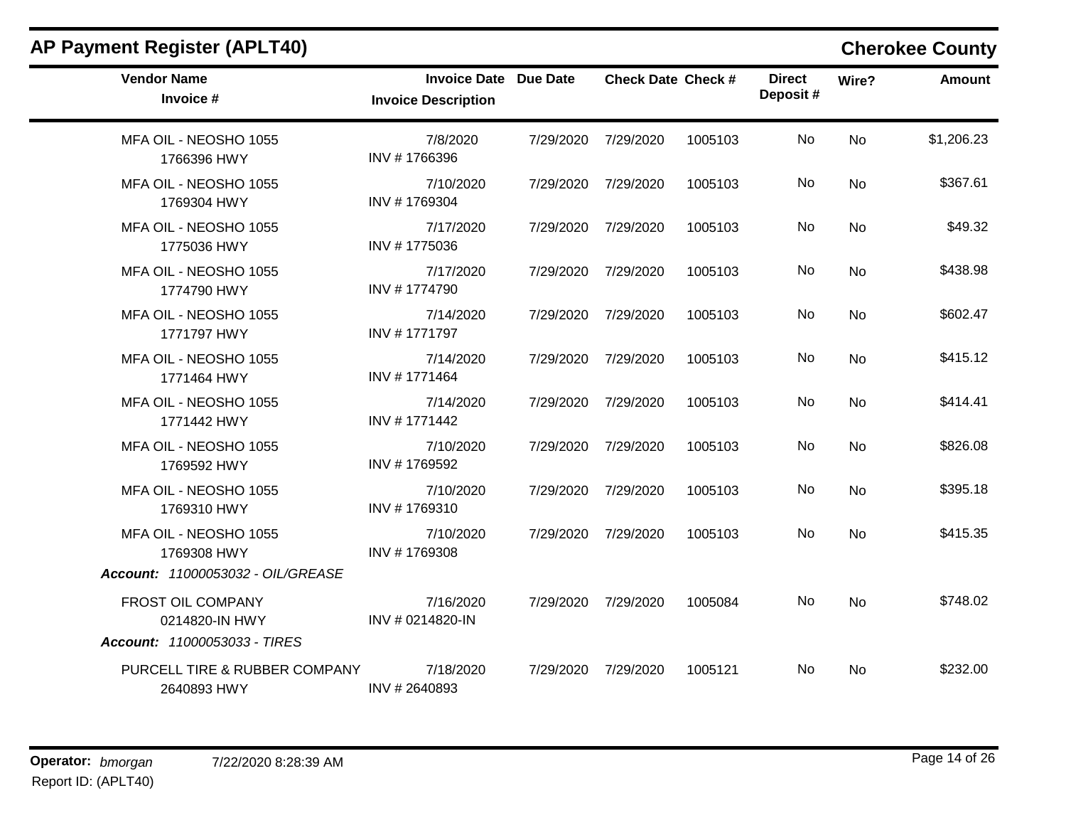| <b>Vendor Name</b><br>Invoice #                                            | <b>Invoice Date Due Date</b><br><b>Invoice Description</b> |           | <b>Check Date Check #</b> |         | <b>Direct</b><br>Deposit# | Wire?     | <b>Amount</b> |
|----------------------------------------------------------------------------|------------------------------------------------------------|-----------|---------------------------|---------|---------------------------|-----------|---------------|
| MFA OIL - NEOSHO 1055<br>1766396 HWY                                       | 7/8/2020<br>INV #1766396                                   | 7/29/2020 | 7/29/2020                 | 1005103 | No                        | <b>No</b> | \$1,206.23    |
| MFA OIL - NEOSHO 1055<br>1769304 HWY                                       | 7/10/2020<br>INV #1769304                                  | 7/29/2020 | 7/29/2020                 | 1005103 | No                        | <b>No</b> | \$367.61      |
| MFA OIL - NEOSHO 1055<br>1775036 HWY                                       | 7/17/2020<br>INV #1775036                                  |           | 7/29/2020 7/29/2020       | 1005103 | No                        | <b>No</b> | \$49.32       |
| MFA OIL - NEOSHO 1055<br>1774790 HWY                                       | 7/17/2020<br>INV #1774790                                  | 7/29/2020 | 7/29/2020                 | 1005103 | No                        | <b>No</b> | \$438.98      |
| MFA OIL - NEOSHO 1055<br>1771797 HWY                                       | 7/14/2020<br>INV #1771797                                  | 7/29/2020 | 7/29/2020                 | 1005103 | No                        | <b>No</b> | \$602.47      |
| MFA OIL - NEOSHO 1055<br>1771464 HWY                                       | 7/14/2020<br>INV #1771464                                  | 7/29/2020 | 7/29/2020                 | 1005103 | No                        | <b>No</b> | \$415.12      |
| MFA OIL - NEOSHO 1055<br>1771442 HWY                                       | 7/14/2020<br>INV #1771442                                  | 7/29/2020 | 7/29/2020                 | 1005103 | No                        | <b>No</b> | \$414.41      |
| MFA OIL - NEOSHO 1055<br>1769592 HWY                                       | 7/10/2020<br>INV #1769592                                  | 7/29/2020 | 7/29/2020                 | 1005103 | No                        | <b>No</b> | \$826.08      |
| MFA OIL - NEOSHO 1055<br>1769310 HWY                                       | 7/10/2020<br>INV #1769310                                  |           | 7/29/2020 7/29/2020       | 1005103 | No                        | <b>No</b> | \$395.18      |
| MFA OIL - NEOSHO 1055<br>1769308 HWY<br>Account: 11000053032 - OIL/GREASE  | 7/10/2020<br>INV #1769308                                  |           | 7/29/2020 7/29/2020       | 1005103 | No.                       | <b>No</b> | \$415.35      |
| <b>FROST OIL COMPANY</b><br>0214820-IN HWY<br>Account: 11000053033 - TIRES | 7/16/2020<br>INV # 0214820-IN                              | 7/29/2020 | 7/29/2020                 | 1005084 | No                        | No        | \$748.02      |
| PURCELL TIRE & RUBBER COMPANY<br>2640893 HWY                               | 7/18/2020<br>INV #2640893                                  | 7/29/2020 | 7/29/2020                 | 1005121 | No.                       | No        | \$232.00      |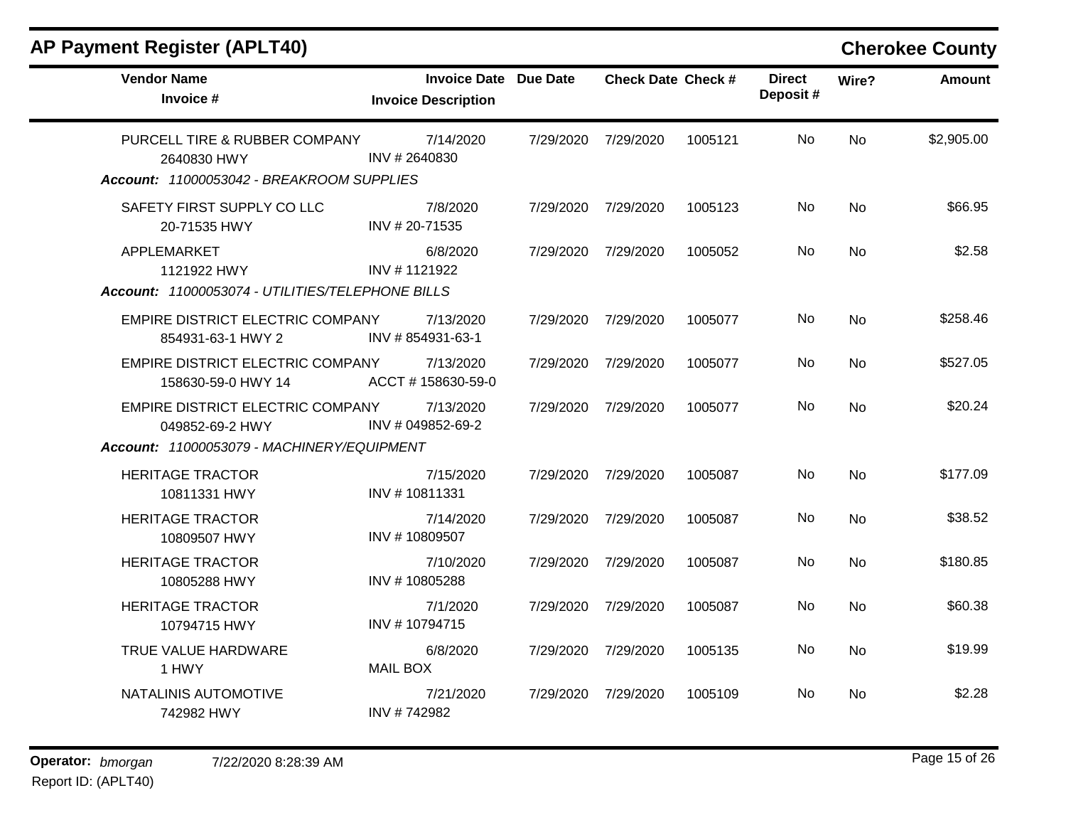| <b>Vendor Name</b><br>Invoice #                                                           | <b>Invoice Date Due Date</b><br><b>Invoice Description</b> |           | <b>Check Date Check #</b> |         | <b>Direct</b><br>Deposit# | Wire?     | <b>Amount</b> |
|-------------------------------------------------------------------------------------------|------------------------------------------------------------|-----------|---------------------------|---------|---------------------------|-----------|---------------|
| PURCELL TIRE & RUBBER COMPANY<br>2640830 HWY<br>Account: 11000053042 - BREAKROOM SUPPLIES | 7/14/2020<br>INV #2640830                                  | 7/29/2020 | 7/29/2020                 | 1005121 | No                        | <b>No</b> | \$2,905.00    |
| SAFETY FIRST SUPPLY CO LLC<br>20-71535 HWY                                                | 7/8/2020<br>INV #20-71535                                  | 7/29/2020 | 7/29/2020                 | 1005123 | No                        | <b>No</b> | \$66.95       |
| APPLEMARKET<br>1121922 HWY<br>Account: 11000053074 - UTILITIES/TELEPHONE BILLS            | 6/8/2020<br>INV #1121922                                   | 7/29/2020 | 7/29/2020                 | 1005052 | No                        | <b>No</b> | \$2.58        |
| EMPIRE DISTRICT ELECTRIC COMPANY<br>854931-63-1 HWY 2                                     | 7/13/2020<br>INV #854931-63-1                              | 7/29/2020 | 7/29/2020                 | 1005077 | No                        | <b>No</b> | \$258.46      |
| EMPIRE DISTRICT ELECTRIC COMPANY<br>158630-59-0 HWY 14                                    | 7/13/2020<br>ACCT #158630-59-0                             | 7/29/2020 | 7/29/2020                 | 1005077 | No                        | No        | \$527.05      |
| EMPIRE DISTRICT ELECTRIC COMPANY<br>049852-69-2 HWY                                       | 7/13/2020<br>INV # 049852-69-2                             | 7/29/2020 | 7/29/2020                 | 1005077 | No                        | <b>No</b> | \$20.24       |
| Account: 11000053079 - MACHINERY/EQUIPMENT                                                |                                                            |           |                           |         |                           |           |               |
| <b>HERITAGE TRACTOR</b><br>10811331 HWY                                                   | 7/15/2020<br>INV #10811331                                 | 7/29/2020 | 7/29/2020                 | 1005087 | No                        | <b>No</b> | \$177.09      |
| <b>HERITAGE TRACTOR</b><br>10809507 HWY                                                   | 7/14/2020<br>INV #10809507                                 | 7/29/2020 | 7/29/2020                 | 1005087 | No                        | <b>No</b> | \$38.52       |
| <b>HERITAGE TRACTOR</b><br>10805288 HWY                                                   | 7/10/2020<br>INV #10805288                                 | 7/29/2020 | 7/29/2020                 | 1005087 | No                        | <b>No</b> | \$180.85      |
| <b>HERITAGE TRACTOR</b><br>10794715 HWY                                                   | 7/1/2020<br>INV #10794715                                  | 7/29/2020 | 7/29/2020                 | 1005087 | No.                       | No        | \$60.38       |
| TRUE VALUE HARDWARE<br>1 HWY                                                              | 6/8/2020<br><b>MAIL BOX</b>                                | 7/29/2020 | 7/29/2020                 | 1005135 | No                        | <b>No</b> | \$19.99       |
| NATALINIS AUTOMOTIVE<br>742982 HWY                                                        | 7/21/2020<br>INV #742982                                   | 7/29/2020 | 7/29/2020                 | 1005109 | No                        | No        | \$2.28        |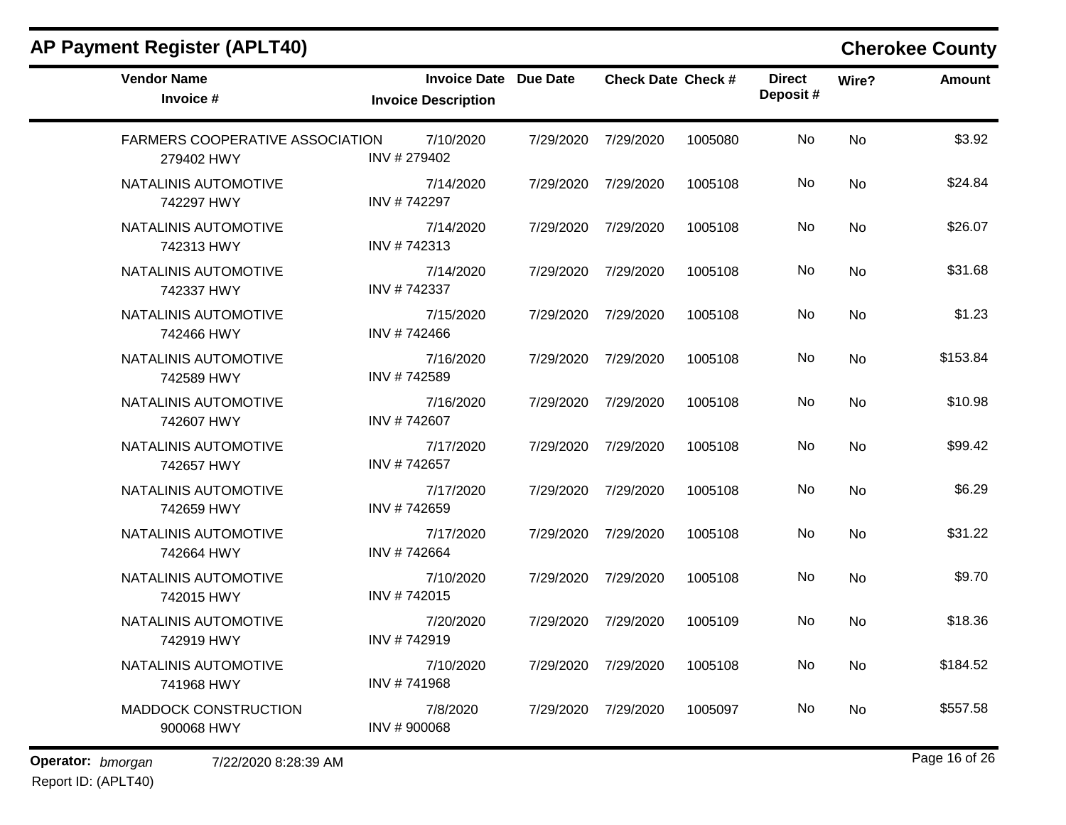| <b>AP Payment Register (APLT40)</b>                  |                                                            |           |                           |         |                           |       | <b>Cherokee County</b> |
|------------------------------------------------------|------------------------------------------------------------|-----------|---------------------------|---------|---------------------------|-------|------------------------|
| <b>Vendor Name</b><br>Invoice #                      | <b>Invoice Date Due Date</b><br><b>Invoice Description</b> |           | <b>Check Date Check #</b> |         | <b>Direct</b><br>Deposit# | Wire? | <b>Amount</b>          |
| <b>FARMERS COOPERATIVE ASSOCIATION</b><br>279402 HWY | 7/10/2020<br>INV # 279402                                  | 7/29/2020 | 7/29/2020                 | 1005080 | No                        | No    | \$3.92                 |
| NATALINIS AUTOMOTIVE<br>742297 HWY                   | 7/14/2020<br>INV #742297                                   | 7/29/2020 | 7/29/2020                 | 1005108 | No                        | No    | \$24.84                |
| NATALINIS AUTOMOTIVE<br>742313 HWY                   | 7/14/2020<br>INV #742313                                   | 7/29/2020 | 7/29/2020                 | 1005108 | No                        | No    | \$26.07                |
| NATALINIS AUTOMOTIVE<br>742337 HWY                   | 7/14/2020<br>INV #742337                                   | 7/29/2020 | 7/29/2020                 | 1005108 | No                        | No    | \$31.68                |
| NATALINIS AUTOMOTIVE<br>742466 HWY                   | 7/15/2020<br>INV #742466                                   | 7/29/2020 | 7/29/2020                 | 1005108 | No                        | No    | \$1.23                 |
| NATALINIS AUTOMOTIVE<br>742589 HWY                   | 7/16/2020<br>INV #742589                                   | 7/29/2020 | 7/29/2020                 | 1005108 | No                        | No    | \$153.84               |
| NATALINIS AUTOMOTIVE<br>742607 HWY                   | 7/16/2020<br>INV #742607                                   | 7/29/2020 | 7/29/2020                 | 1005108 | No                        | No    | \$10.98                |
| NATALINIS AUTOMOTIVE<br>742657 HWY                   | 7/17/2020<br>INV #742657                                   | 7/29/2020 | 7/29/2020                 | 1005108 | No                        | No    | \$99.42                |
| NATALINIS AUTOMOTIVE<br>742659 HWY                   | 7/17/2020<br>INV #742659                                   | 7/29/2020 | 7/29/2020                 | 1005108 | No                        | No    | \$6.29                 |
| NATALINIS AUTOMOTIVE<br>742664 HWY                   | 7/17/2020<br>INV #742664                                   | 7/29/2020 | 7/29/2020                 | 1005108 | No                        | No    | \$31.22                |
| NATALINIS AUTOMOTIVE<br>742015 HWY                   | 7/10/2020<br>INV #742015                                   | 7/29/2020 | 7/29/2020                 | 1005108 | No                        | No    | \$9.70                 |
| NATALINIS AUTOMOTIVE<br>742919 HWY                   | 7/20/2020<br>INV #742919                                   | 7/29/2020 | 7/29/2020                 | 1005109 | No                        | No    | \$18.36                |
| NATALINIS AUTOMOTIVE<br>741968 HWY                   | 7/10/2020<br>INV #741968                                   |           | 7/29/2020 7/29/2020       | 1005108 | No                        | No    | \$184.52               |
| <b>MADDOCK CONSTRUCTION</b><br>900068 HWY            | 7/8/2020<br>INV #900068                                    | 7/29/2020 | 7/29/2020                 | 1005097 | No                        | No    | \$557.58               |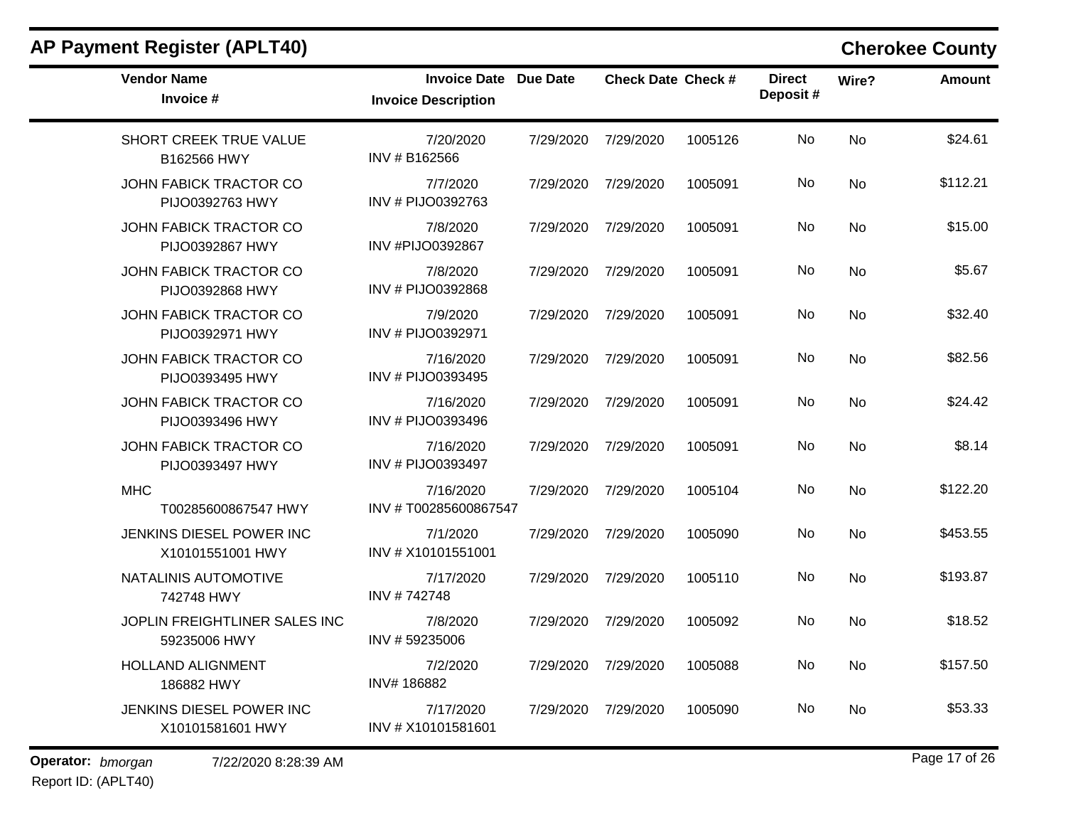| <b>Vendor Name</b><br>Invoice #                  | <b>Invoice Date Due Date</b><br><b>Invoice Description</b> |           | <b>Check Date Check #</b> |         | <b>Direct</b><br>Deposit# | Wire?     | Amount   |
|--------------------------------------------------|------------------------------------------------------------|-----------|---------------------------|---------|---------------------------|-----------|----------|
| SHORT CREEK TRUE VALUE<br>B162566 HWY            | 7/20/2020<br>INV # B162566                                 | 7/29/2020 | 7/29/2020                 | 1005126 | No                        | <b>No</b> | \$24.61  |
| JOHN FABICK TRACTOR CO<br>PIJO0392763 HWY        | 7/7/2020<br>INV # PIJO0392763                              | 7/29/2020 | 7/29/2020                 | 1005091 | No                        | <b>No</b> | \$112.21 |
| <b>JOHN FABICK TRACTOR CO</b><br>PIJO0392867 HWY | 7/8/2020<br>INV #PIJO0392867                               | 7/29/2020 | 7/29/2020                 | 1005091 | No                        | No        | \$15.00  |
| JOHN FABICK TRACTOR CO<br>PIJO0392868 HWY        | 7/8/2020<br>INV # PIJO0392868                              | 7/29/2020 | 7/29/2020                 | 1005091 | No                        | <b>No</b> | \$5.67   |
| JOHN FABICK TRACTOR CO<br>PIJO0392971 HWY        | 7/9/2020<br>INV # PIJO0392971                              | 7/29/2020 | 7/29/2020                 | 1005091 | No                        | No        | \$32.40  |
| <b>JOHN FABICK TRACTOR CO</b><br>PIJO0393495 HWY | 7/16/2020<br>INV # PIJO0393495                             | 7/29/2020 | 7/29/2020                 | 1005091 | No                        | No        | \$82.56  |
| JOHN FABICK TRACTOR CO<br>PIJO0393496 HWY        | 7/16/2020<br>INV # PIJO0393496                             | 7/29/2020 | 7/29/2020                 | 1005091 | <b>No</b>                 | <b>No</b> | \$24.42  |
| JOHN FABICK TRACTOR CO<br>PIJO0393497 HWY        | 7/16/2020<br>INV # PIJO0393497                             | 7/29/2020 | 7/29/2020                 | 1005091 | No                        | No        | \$8.14   |
| <b>MHC</b><br>T00285600867547 HWY                | 7/16/2020<br>INV #T00285600867547                          | 7/29/2020 | 7/29/2020                 | 1005104 | No                        | No        | \$122.20 |
| JENKINS DIESEL POWER INC<br>X10101551001 HWY     | 7/1/2020<br>INV # X10101551001                             | 7/29/2020 | 7/29/2020                 | 1005090 | No                        | <b>No</b> | \$453.55 |
| NATALINIS AUTOMOTIVE<br>742748 HWY               | 7/17/2020<br>INV #742748                                   | 7/29/2020 | 7/29/2020                 | 1005110 | No                        | <b>No</b> | \$193.87 |
| JOPLIN FREIGHTLINER SALES INC<br>59235006 HWY    | 7/8/2020<br>INV #59235006                                  | 7/29/2020 | 7/29/2020                 | 1005092 | No                        | <b>No</b> | \$18.52  |
| <b>HOLLAND ALIGNMENT</b><br>186882 HWY           | 7/2/2020<br>INV#186882                                     | 7/29/2020 | 7/29/2020                 | 1005088 | No.                       | No        | \$157.50 |
| JENKINS DIESEL POWER INC<br>X10101581601 HWY     | 7/17/2020<br>INV # X10101581601                            | 7/29/2020 | 7/29/2020                 | 1005090 | No                        | No        | \$53.33  |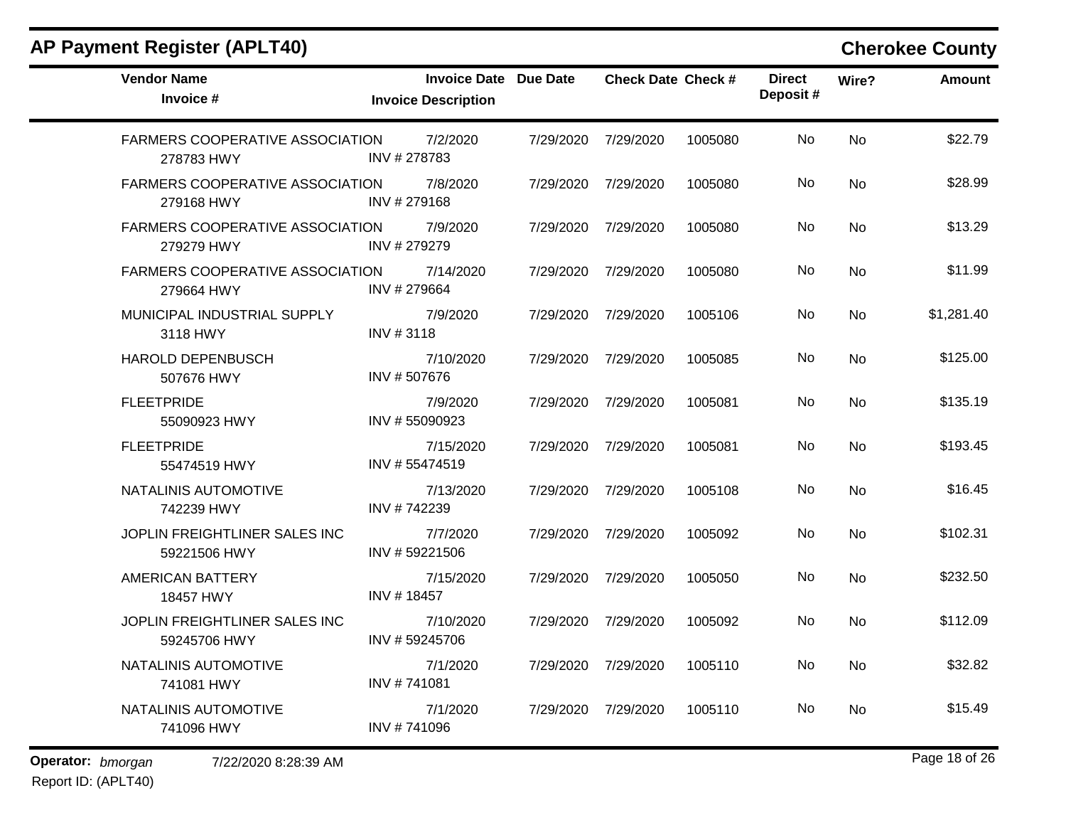$\blacksquare$ 

| <b>Vendor Name</b><br>Invoice #                      | <b>Invoice Date Due Date</b><br><b>Invoice Description</b> |                     | <b>Check Date Check #</b> |         | <b>Direct</b><br>Deposit# | Wire?     | <b>Amount</b> |
|------------------------------------------------------|------------------------------------------------------------|---------------------|---------------------------|---------|---------------------------|-----------|---------------|
| FARMERS COOPERATIVE ASSOCIATION<br>278783 HWY        | 7/2/2020<br>INV #278783                                    | 7/29/2020           | 7/29/2020                 | 1005080 | No                        | <b>No</b> | \$22.79       |
| <b>FARMERS COOPERATIVE ASSOCIATION</b><br>279168 HWY | 7/8/2020<br>INV #279168                                    | 7/29/2020           | 7/29/2020                 | 1005080 | No                        | <b>No</b> | \$28.99       |
| <b>FARMERS COOPERATIVE ASSOCIATION</b><br>279279 HWY | 7/9/2020<br>INV #279279                                    | 7/29/2020 7/29/2020 |                           | 1005080 | No.                       | No        | \$13.29       |
| FARMERS COOPERATIVE ASSOCIATION<br>279664 HWY        | 7/14/2020<br>INV #279664                                   | 7/29/2020           | 7/29/2020                 | 1005080 | No                        | <b>No</b> | \$11.99       |
| MUNICIPAL INDUSTRIAL SUPPLY<br>3118 HWY              | 7/9/2020<br>INV #3118                                      | 7/29/2020 7/29/2020 |                           | 1005106 | No.                       | No        | \$1,281.40    |
| HAROLD DEPENBUSCH<br>507676 HWY                      | 7/10/2020<br>INV #507676                                   | 7/29/2020           | 7/29/2020                 | 1005085 | No                        | No        | \$125.00      |
| <b>FLEETPRIDE</b><br>55090923 HWY                    | 7/9/2020<br>INV #55090923                                  | 7/29/2020 7/29/2020 |                           | 1005081 | No                        | <b>No</b> | \$135.19      |
| <b>FLEETPRIDE</b><br>55474519 HWY                    | 7/15/2020<br>INV #55474519                                 | 7/29/2020           | 7/29/2020                 | 1005081 | No                        | No        | \$193.45      |
| NATALINIS AUTOMOTIVE<br>742239 HWY                   | 7/13/2020<br>INV #742239                                   | 7/29/2020           | 7/29/2020                 | 1005108 | No                        | <b>No</b> | \$16.45       |
| JOPLIN FREIGHTLINER SALES INC<br>59221506 HWY        | 7/7/2020<br>INV #59221506                                  | 7/29/2020 7/29/2020 |                           | 1005092 | No.                       | No        | \$102.31      |
| <b>AMERICAN BATTERY</b><br>18457 HWY                 | 7/15/2020<br>INV #18457                                    | 7/29/2020           | 7/29/2020                 | 1005050 | No                        | <b>No</b> | \$232.50      |
| JOPLIN FREIGHTLINER SALES INC<br>59245706 HWY        | 7/10/2020<br>INV #59245706                                 | 7/29/2020 7/29/2020 |                           | 1005092 | No.                       | No        | \$112.09      |
| NATALINIS AUTOMOTIVE<br>741081 HWY                   | 7/1/2020<br>INV #741081                                    | 7/29/2020           | 7/29/2020                 | 1005110 | No                        | No        | \$32.82       |
| NATALINIS AUTOMOTIVE<br>741096 HWY                   | 7/1/2020<br>INV #741096                                    | 7/29/2020 7/29/2020 |                           | 1005110 | No                        | No        | \$15.49       |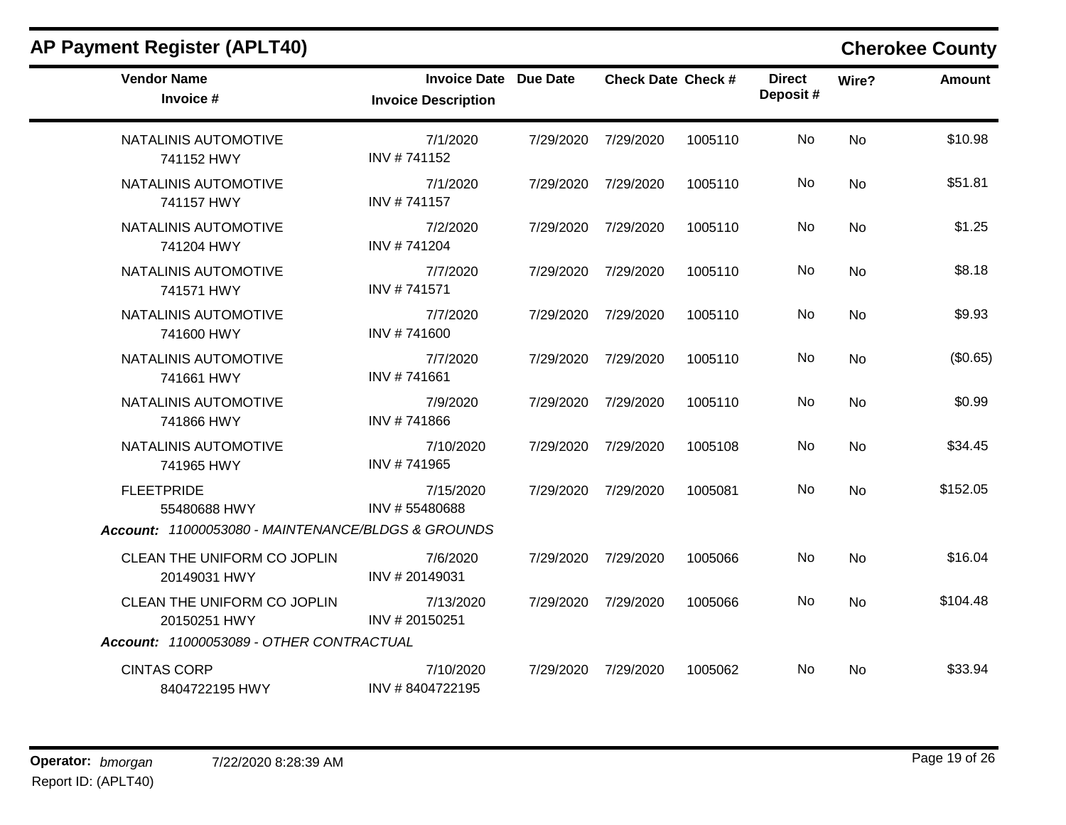| <b>AP Payment Register (APLT40)</b>                |                                                            |           |                           |         |                           |           | <b>Cherokee County</b> |
|----------------------------------------------------|------------------------------------------------------------|-----------|---------------------------|---------|---------------------------|-----------|------------------------|
| <b>Vendor Name</b><br>Invoice #                    | <b>Invoice Date Due Date</b><br><b>Invoice Description</b> |           | <b>Check Date Check #</b> |         | <b>Direct</b><br>Deposit# | Wire?     | <b>Amount</b>          |
| NATALINIS AUTOMOTIVE<br>741152 HWY                 | 7/1/2020<br>INV #741152                                    | 7/29/2020 | 7/29/2020                 | 1005110 | No                        | <b>No</b> | \$10.98                |
| NATALINIS AUTOMOTIVE<br>741157 HWY                 | 7/1/2020<br>INV #741157                                    | 7/29/2020 | 7/29/2020                 | 1005110 | No                        | <b>No</b> | \$51.81                |
| NATALINIS AUTOMOTIVE<br>741204 HWY                 | 7/2/2020<br>INV #741204                                    | 7/29/2020 | 7/29/2020                 | 1005110 | No                        | <b>No</b> | \$1.25                 |
| <b>NATALINIS AUTOMOTIVE</b><br>741571 HWY          | 7/7/2020<br>INV #741571                                    | 7/29/2020 | 7/29/2020                 | 1005110 | No                        | <b>No</b> | \$8.18                 |
| NATALINIS AUTOMOTIVE<br>741600 HWY                 | 7/7/2020<br>INV #741600                                    | 7/29/2020 | 7/29/2020                 | 1005110 | No                        | <b>No</b> | \$9.93                 |
| NATALINIS AUTOMOTIVE<br>741661 HWY                 | 7/7/2020<br>INV #741661                                    | 7/29/2020 | 7/29/2020                 | 1005110 | No                        | <b>No</b> | (\$0.65)               |
| NATALINIS AUTOMOTIVE<br>741866 HWY                 | 7/9/2020<br>INV #741866                                    | 7/29/2020 | 7/29/2020                 | 1005110 | No                        | No        | \$0.99                 |
| NATALINIS AUTOMOTIVE<br>741965 HWY                 | 7/10/2020<br>INV #741965                                   | 7/29/2020 | 7/29/2020                 | 1005108 | No                        | <b>No</b> | \$34.45                |
| <b>FLEETPRIDE</b><br>55480688 HWY                  | 7/15/2020<br>INV #55480688                                 | 7/29/2020 | 7/29/2020                 | 1005081 | No                        | <b>No</b> | \$152.05               |
| Account: 11000053080 - MAINTENANCE/BLDGS & GROUNDS |                                                            |           |                           |         |                           |           |                        |
| CLEAN THE UNIFORM CO JOPLIN<br>20149031 HWY        | 7/6/2020<br>INV #20149031                                  | 7/29/2020 | 7/29/2020                 | 1005066 | No                        | <b>No</b> | \$16.04                |
| CLEAN THE UNIFORM CO JOPLIN<br>20150251 HWY        | 7/13/2020<br>INV #20150251                                 | 7/29/2020 | 7/29/2020                 | 1005066 | No                        | No        | \$104.48               |
| Account: 11000053089 - OTHER CONTRACTUAL           |                                                            |           |                           |         |                           |           |                        |
| <b>CINTAS CORP</b><br>8404722195 HWY               | 7/10/2020<br>INV #8404722195                               | 7/29/2020 | 7/29/2020                 | 1005062 | No                        | <b>No</b> | \$33.94                |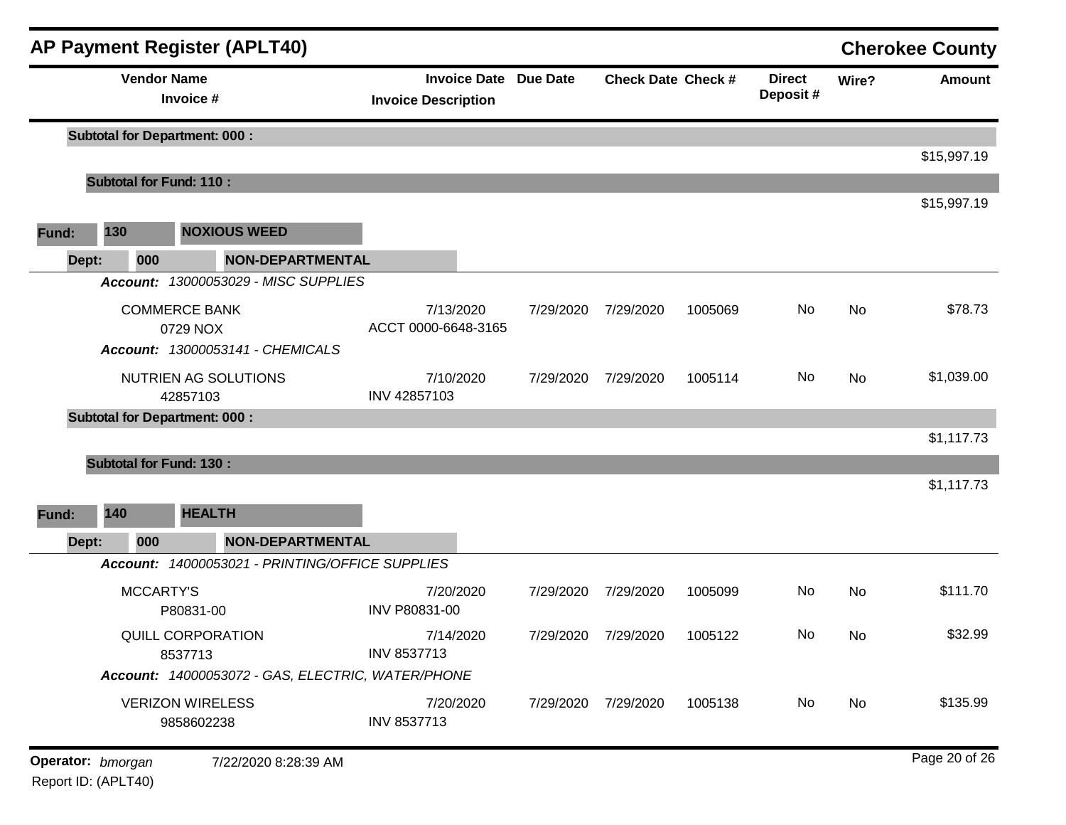|       |              | <b>AP Payment Register (APLT40)</b>                                  |                                                            |           |                             |         |                           |       | <b>Cherokee County</b> |
|-------|--------------|----------------------------------------------------------------------|------------------------------------------------------------|-----------|-----------------------------|---------|---------------------------|-------|------------------------|
|       |              | <b>Vendor Name</b><br>Invoice #                                      | <b>Invoice Date Due Date</b><br><b>Invoice Description</b> |           | <b>Check Date Check #</b>   |         | <b>Direct</b><br>Deposit# | Wire? | <b>Amount</b>          |
|       |              | <b>Subtotal for Department: 000:</b>                                 |                                                            |           |                             |         |                           |       | \$15,997.19            |
|       |              | <b>Subtotal for Fund: 110:</b>                                       |                                                            |           |                             |         |                           |       |                        |
|       |              |                                                                      |                                                            |           |                             |         |                           |       | \$15,997.19            |
| Fund: | 130          | <b>NOXIOUS WEED</b>                                                  |                                                            |           |                             |         |                           |       |                        |
|       | Dept:<br>000 | <b>NON-DEPARTMENTAL</b>                                              |                                                            |           |                             |         |                           |       |                        |
|       |              | Account: 13000053029 - MISC SUPPLIES                                 |                                                            |           |                             |         |                           |       |                        |
|       |              | <b>COMMERCE BANK</b><br>0729 NOX<br>Account: 13000053141 - CHEMICALS | 7/13/2020<br>ACCT 0000-6648-3165                           | 7/29/2020 | 7/29/2020                   | 1005069 | No                        | No    | \$78.73                |
|       |              | NUTRIEN AG SOLUTIONS<br>42857103                                     | 7/10/2020<br>INV 42857103                                  | 7/29/2020 | 7/29/2020                   | 1005114 | No                        | No    | \$1,039.00             |
|       |              | <b>Subtotal for Department: 000:</b>                                 |                                                            |           |                             |         |                           |       |                        |
|       |              |                                                                      |                                                            |           |                             |         |                           |       | \$1,117.73             |
|       |              | <b>Subtotal for Fund: 130:</b>                                       |                                                            |           |                             |         |                           |       |                        |
|       |              |                                                                      |                                                            |           |                             |         |                           |       | \$1,117.73             |
| Fund: | 140          | <b>HEALTH</b>                                                        |                                                            |           |                             |         |                           |       |                        |
|       | Dept:<br>000 | <b>NON-DEPARTMENTAL</b>                                              |                                                            |           |                             |         |                           |       |                        |
|       |              | Account: 14000053021 - PRINTING/OFFICE SUPPLIES                      |                                                            |           |                             |         |                           |       |                        |
|       |              | <b>MCCARTY'S</b><br>P80831-00                                        | 7/20/2020<br>INV P80831-00                                 | 7/29/2020 | 7/29/2020                   | 1005099 | No                        | No    | \$111.70               |
|       |              | QUILL CORPORATION<br>8537713                                         | 7/14/2020<br>INV 8537713                                   |           | 7/29/2020 7/29/2020 1005122 |         | No.                       | No    | \$32.99                |
|       |              | Account: 14000053072 - GAS, ELECTRIC, WATER/PHONE                    |                                                            |           |                             |         |                           |       |                        |
|       |              | <b>VERIZON WIRELESS</b><br>9858602238                                | 7/20/2020<br>INV 8537713                                   |           | 7/29/2020 7/29/2020         | 1005138 | No                        | No    | \$135.99               |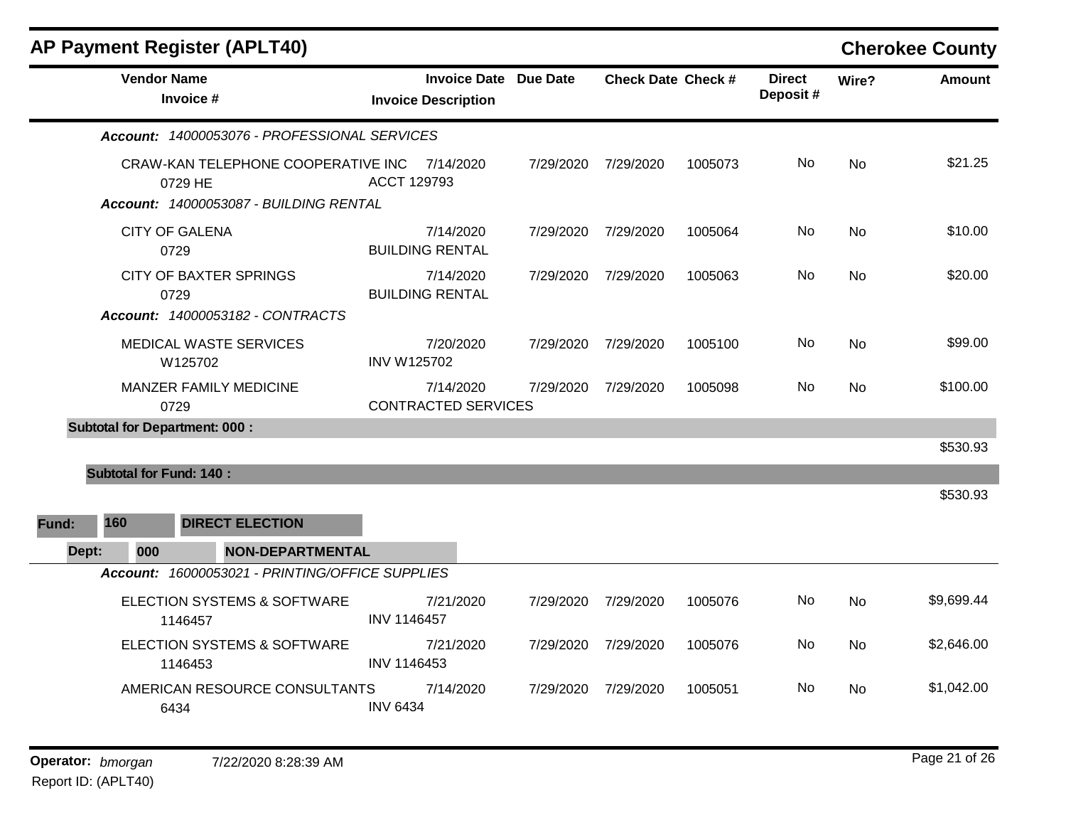|       | <b>AP Payment Register (APLT40)</b>                     |                                                            |           |                           |         |                           |           | <b>Cherokee County</b> |
|-------|---------------------------------------------------------|------------------------------------------------------------|-----------|---------------------------|---------|---------------------------|-----------|------------------------|
|       | <b>Vendor Name</b><br>Invoice #                         | <b>Invoice Date Due Date</b><br><b>Invoice Description</b> |           | <b>Check Date Check #</b> |         | <b>Direct</b><br>Deposit# | Wire?     | <b>Amount</b>          |
|       | Account: 14000053076 - PROFESSIONAL SERVICES            |                                                            |           |                           |         |                           |           |                        |
|       | CRAW-KAN TELEPHONE COOPERATIVE INC 7/14/2020<br>0729 HE | ACCT 129793                                                |           | 7/29/2020 7/29/2020       | 1005073 | No                        | <b>No</b> | \$21.25                |
|       | Account: 14000053087 - BUILDING RENTAL                  |                                                            |           |                           |         |                           |           |                        |
|       | <b>CITY OF GALENA</b><br>0729                           | 7/14/2020<br><b>BUILDING RENTAL</b>                        |           | 7/29/2020 7/29/2020       | 1005064 | No                        | <b>No</b> | \$10.00                |
|       | <b>CITY OF BAXTER SPRINGS</b><br>0729                   | 7/14/2020<br><b>BUILDING RENTAL</b>                        |           | 7/29/2020 7/29/2020       | 1005063 | No                        | No        | \$20.00                |
|       | Account: 14000053182 - CONTRACTS                        |                                                            |           |                           |         |                           |           |                        |
|       | MEDICAL WASTE SERVICES<br>W125702                       | 7/20/2020<br><b>INV W125702</b>                            |           | 7/29/2020 7/29/2020       | 1005100 | No                        | No        | \$99.00                |
|       | MANZER FAMILY MEDICINE<br>0729                          | 7/14/2020<br><b>CONTRACTED SERVICES</b>                    | 7/29/2020 | 7/29/2020                 | 1005098 | No                        | <b>No</b> | \$100.00               |
|       | <b>Subtotal for Department: 000:</b>                    |                                                            |           |                           |         |                           |           |                        |
|       |                                                         |                                                            |           |                           |         |                           |           | \$530.93               |
|       | <b>Subtotal for Fund: 140:</b>                          |                                                            |           |                           |         |                           |           |                        |
|       |                                                         |                                                            |           |                           |         |                           |           | \$530.93               |
| Fund: | 160<br><b>DIRECT ELECTION</b>                           |                                                            |           |                           |         |                           |           |                        |
| Dept: | 000<br><b>NON-DEPARTMENTAL</b>                          |                                                            |           |                           |         |                           |           |                        |
|       | Account: 16000053021 - PRINTING/OFFICE SUPPLIES         |                                                            |           |                           |         |                           |           |                        |
|       | ELECTION SYSTEMS & SOFTWARE<br>1146457                  | 7/21/2020<br>INV 1146457                                   | 7/29/2020 | 7/29/2020                 | 1005076 | No                        | <b>No</b> | \$9,699.44             |
|       | ELECTION SYSTEMS & SOFTWARE<br>1146453                  | 7/21/2020<br>INV 1146453                                   | 7/29/2020 | 7/29/2020                 | 1005076 | No.                       | No        | \$2,646.00             |
|       | AMERICAN RESOURCE CONSULTANTS<br>6434                   | 7/14/2020<br><b>INV 6434</b>                               | 7/29/2020 | 7/29/2020                 | 1005051 | No                        | No        | \$1,042.00             |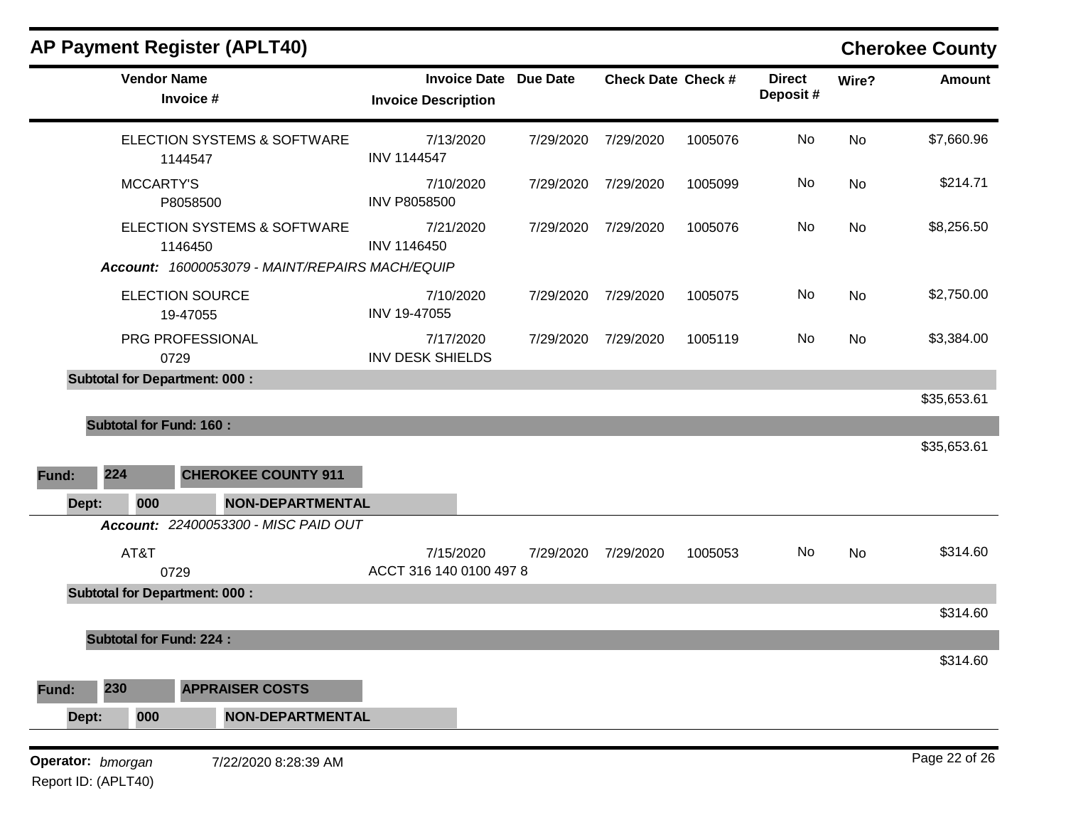|       |                                | <b>AP Payment Register (APLT40)</b>             |                                                            |           |                           |         |                           |       | <b>Cherokee County</b> |
|-------|--------------------------------|-------------------------------------------------|------------------------------------------------------------|-----------|---------------------------|---------|---------------------------|-------|------------------------|
|       | <b>Vendor Name</b>             | Invoice #                                       | <b>Invoice Date Due Date</b><br><b>Invoice Description</b> |           | <b>Check Date Check #</b> |         | <b>Direct</b><br>Deposit# | Wire? | <b>Amount</b>          |
|       |                                | ELECTION SYSTEMS & SOFTWARE<br>1144547          | 7/13/2020<br><b>INV 1144547</b>                            | 7/29/2020 | 7/29/2020                 | 1005076 | No                        | No    | \$7,660.96             |
|       | <b>MCCARTY'S</b>               | P8058500                                        | 7/10/2020<br><b>INV P8058500</b>                           | 7/29/2020 | 7/29/2020                 | 1005099 | No                        | No    | \$214.71               |
|       |                                | ELECTION SYSTEMS & SOFTWARE<br>1146450          | 7/21/2020<br>INV 1146450                                   | 7/29/2020 | 7/29/2020                 | 1005076 | No                        | No    | \$8,256.50             |
|       |                                | Account: 16000053079 - MAINT/REPAIRS MACH/EQUIP |                                                            |           |                           |         |                           |       |                        |
|       |                                | <b>ELECTION SOURCE</b><br>19-47055              | 7/10/2020<br>INV 19-47055                                  | 7/29/2020 | 7/29/2020                 | 1005075 | No                        | No    | \$2,750.00             |
|       |                                | PRG PROFESSIONAL<br>0729                        | 7/17/2020<br><b>INV DESK SHIELDS</b>                       | 7/29/2020 | 7/29/2020                 | 1005119 | No                        | No    | \$3,384.00             |
|       |                                | <b>Subtotal for Department: 000:</b>            |                                                            |           |                           |         |                           |       |                        |
|       |                                |                                                 |                                                            |           |                           |         |                           |       | \$35,653.61            |
|       | <b>Subtotal for Fund: 160:</b> |                                                 |                                                            |           |                           |         |                           |       |                        |
|       |                                |                                                 |                                                            |           |                           |         |                           |       | \$35,653.61            |
| Fund: | 224                            | <b>CHEROKEE COUNTY 911</b>                      |                                                            |           |                           |         |                           |       |                        |
| Dept: | 000                            | NON-DEPARTMENTAL                                |                                                            |           |                           |         |                           |       |                        |
|       |                                | Account: 22400053300 - MISC PAID OUT            |                                                            |           |                           |         |                           |       |                        |
|       | AT&T                           | 0729                                            | 7/15/2020<br>ACCT 316 140 0100 497 8                       | 7/29/2020 | 7/29/2020                 | 1005053 | No                        | No    | \$314.60               |
|       |                                | <b>Subtotal for Department: 000:</b>            |                                                            |           |                           |         |                           |       |                        |
|       |                                |                                                 |                                                            |           |                           |         |                           |       | \$314.60               |
|       | <b>Subtotal for Fund: 224:</b> |                                                 |                                                            |           |                           |         |                           |       |                        |
|       |                                |                                                 |                                                            |           |                           |         |                           |       | \$314.60               |
| Fund: | 230                            | <b>APPRAISER COSTS</b>                          |                                                            |           |                           |         |                           |       |                        |
| Dept: | 000                            | <b>NON-DEPARTMENTAL</b>                         |                                                            |           |                           |         |                           |       |                        |
|       | Operator: bmorgan              | 7/22/2020 8:28:39 AM                            |                                                            |           |                           |         |                           |       | Page 22 of 26          |
|       | Report ID: (APLT40)            |                                                 |                                                            |           |                           |         |                           |       |                        |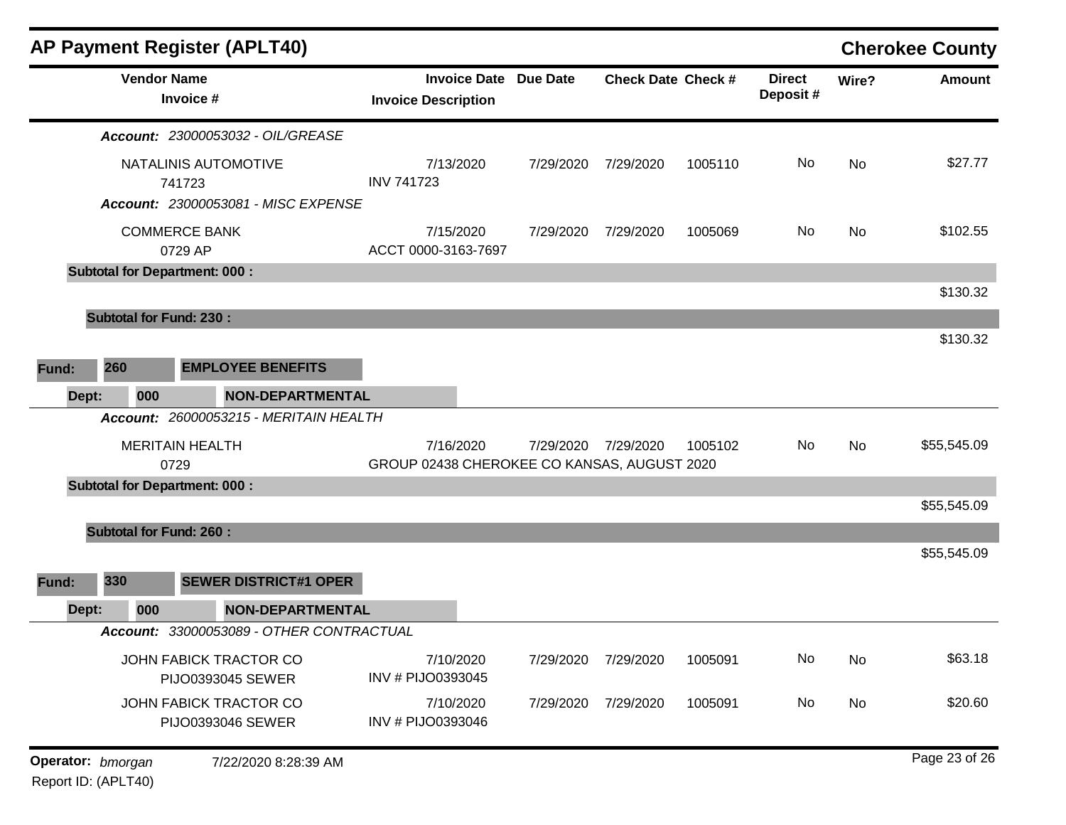|                   | <b>AP Payment Register (APLT40)</b><br><b>Vendor Name</b><br><b>Invoice Date</b><br><b>Due Date</b><br><b>Direct</b><br><b>Check Date Check #</b><br>Deposit#<br>Invoice #<br><b>Invoice Description</b><br>Account: 23000053032 - OIL/GREASE<br>NATALINIS AUTOMOTIVE<br>No<br>7/13/2020<br>7/29/2020<br>7/29/2020<br>1005110<br><b>INV 741723</b><br>741723<br><b>Account: 23000053081 - MISC EXPENSE</b><br><b>COMMERCE BANK</b><br>7/15/2020<br>No<br>7/29/2020<br>7/29/2020<br>1005069<br>ACCT 0000-3163-7697<br>0729 AP<br><b>Subtotal for Department: 000:</b><br><b>Subtotal for Fund: 230:</b><br>260<br><b>EMPLOYEE BENEFITS</b><br><b>NON-DEPARTMENTAL</b><br>000<br>Account: 26000053215 - MERITAIN HEALTH<br>7/16/2020<br>7/29/2020<br>7/29/2020<br>1005102<br>No<br><b>MERITAIN HEALTH</b><br>GROUP 02438 CHEROKEE CO KANSAS, AUGUST 2020<br>0729<br><b>Subtotal for Department: 000:</b><br><b>Subtotal for Fund: 260:</b><br>330<br><b>SEWER DISTRICT#1 OPER</b><br><b>NON-DEPARTMENTAL</b><br>000<br>Account: 33000053089 - OTHER CONTRACTUAL<br>No<br>7/10/2020<br>JOHN FABICK TRACTOR CO<br>7/29/2020<br>7/29/2020<br>1005091<br>INV # PIJO0393045<br>PIJO0393045 SEWER<br>JOHN FABICK TRACTOR CO |                      |                                | <b>Cherokee County</b> |           |         |    |       |               |
|-------------------|---------------------------------------------------------------------------------------------------------------------------------------------------------------------------------------------------------------------------------------------------------------------------------------------------------------------------------------------------------------------------------------------------------------------------------------------------------------------------------------------------------------------------------------------------------------------------------------------------------------------------------------------------------------------------------------------------------------------------------------------------------------------------------------------------------------------------------------------------------------------------------------------------------------------------------------------------------------------------------------------------------------------------------------------------------------------------------------------------------------------------------------------------------------------------------------------------------------------|----------------------|--------------------------------|------------------------|-----------|---------|----|-------|---------------|
|                   |                                                                                                                                                                                                                                                                                                                                                                                                                                                                                                                                                                                                                                                                                                                                                                                                                                                                                                                                                                                                                                                                                                                                                                                                                     |                      |                                |                        |           |         |    | Wire? | <b>Amount</b> |
|                   |                                                                                                                                                                                                                                                                                                                                                                                                                                                                                                                                                                                                                                                                                                                                                                                                                                                                                                                                                                                                                                                                                                                                                                                                                     |                      |                                |                        |           |         |    |       |               |
|                   |                                                                                                                                                                                                                                                                                                                                                                                                                                                                                                                                                                                                                                                                                                                                                                                                                                                                                                                                                                                                                                                                                                                                                                                                                     |                      |                                |                        |           |         |    | No    | \$27.77       |
|                   |                                                                                                                                                                                                                                                                                                                                                                                                                                                                                                                                                                                                                                                                                                                                                                                                                                                                                                                                                                                                                                                                                                                                                                                                                     |                      |                                |                        |           |         |    |       |               |
|                   |                                                                                                                                                                                                                                                                                                                                                                                                                                                                                                                                                                                                                                                                                                                                                                                                                                                                                                                                                                                                                                                                                                                                                                                                                     |                      |                                |                        |           |         |    | No    | \$102.55      |
|                   |                                                                                                                                                                                                                                                                                                                                                                                                                                                                                                                                                                                                                                                                                                                                                                                                                                                                                                                                                                                                                                                                                                                                                                                                                     |                      |                                |                        |           |         |    |       |               |
|                   |                                                                                                                                                                                                                                                                                                                                                                                                                                                                                                                                                                                                                                                                                                                                                                                                                                                                                                                                                                                                                                                                                                                                                                                                                     |                      |                                |                        |           |         |    |       | \$130.32      |
|                   |                                                                                                                                                                                                                                                                                                                                                                                                                                                                                                                                                                                                                                                                                                                                                                                                                                                                                                                                                                                                                                                                                                                                                                                                                     |                      |                                |                        |           |         |    |       |               |
| Fund:             |                                                                                                                                                                                                                                                                                                                                                                                                                                                                                                                                                                                                                                                                                                                                                                                                                                                                                                                                                                                                                                                                                                                                                                                                                     |                      |                                |                        |           |         |    |       | \$130.32      |
| Dept:             |                                                                                                                                                                                                                                                                                                                                                                                                                                                                                                                                                                                                                                                                                                                                                                                                                                                                                                                                                                                                                                                                                                                                                                                                                     |                      |                                |                        |           |         |    |       |               |
|                   |                                                                                                                                                                                                                                                                                                                                                                                                                                                                                                                                                                                                                                                                                                                                                                                                                                                                                                                                                                                                                                                                                                                                                                                                                     |                      |                                |                        |           |         |    |       |               |
|                   |                                                                                                                                                                                                                                                                                                                                                                                                                                                                                                                                                                                                                                                                                                                                                                                                                                                                                                                                                                                                                                                                                                                                                                                                                     |                      |                                |                        |           |         |    | No    | \$55,545.09   |
|                   |                                                                                                                                                                                                                                                                                                                                                                                                                                                                                                                                                                                                                                                                                                                                                                                                                                                                                                                                                                                                                                                                                                                                                                                                                     |                      |                                |                        |           |         |    |       |               |
|                   |                                                                                                                                                                                                                                                                                                                                                                                                                                                                                                                                                                                                                                                                                                                                                                                                                                                                                                                                                                                                                                                                                                                                                                                                                     |                      |                                |                        |           |         |    |       | \$55,545.09   |
|                   |                                                                                                                                                                                                                                                                                                                                                                                                                                                                                                                                                                                                                                                                                                                                                                                                                                                                                                                                                                                                                                                                                                                                                                                                                     |                      |                                |                        |           |         |    |       |               |
|                   |                                                                                                                                                                                                                                                                                                                                                                                                                                                                                                                                                                                                                                                                                                                                                                                                                                                                                                                                                                                                                                                                                                                                                                                                                     |                      |                                |                        |           |         |    |       | \$55,545.09   |
| Fund:             |                                                                                                                                                                                                                                                                                                                                                                                                                                                                                                                                                                                                                                                                                                                                                                                                                                                                                                                                                                                                                                                                                                                                                                                                                     |                      |                                |                        |           |         |    |       |               |
| Dept:             |                                                                                                                                                                                                                                                                                                                                                                                                                                                                                                                                                                                                                                                                                                                                                                                                                                                                                                                                                                                                                                                                                                                                                                                                                     |                      |                                |                        |           |         |    |       |               |
|                   |                                                                                                                                                                                                                                                                                                                                                                                                                                                                                                                                                                                                                                                                                                                                                                                                                                                                                                                                                                                                                                                                                                                                                                                                                     |                      |                                |                        |           |         |    |       |               |
|                   |                                                                                                                                                                                                                                                                                                                                                                                                                                                                                                                                                                                                                                                                                                                                                                                                                                                                                                                                                                                                                                                                                                                                                                                                                     |                      |                                |                        |           |         |    | No    | \$63.18       |
|                   |                                                                                                                                                                                                                                                                                                                                                                                                                                                                                                                                                                                                                                                                                                                                                                                                                                                                                                                                                                                                                                                                                                                                                                                                                     | PIJO0393046 SEWER    | 7/10/2020<br>INV # PIJO0393046 | 7/29/2020              | 7/29/2020 | 1005091 | No | No    | \$20.60       |
| Operator: bmorgan |                                                                                                                                                                                                                                                                                                                                                                                                                                                                                                                                                                                                                                                                                                                                                                                                                                                                                                                                                                                                                                                                                                                                                                                                                     | 7/22/2020 8:28:39 AM |                                |                        |           |         |    |       | Page 23 of 26 |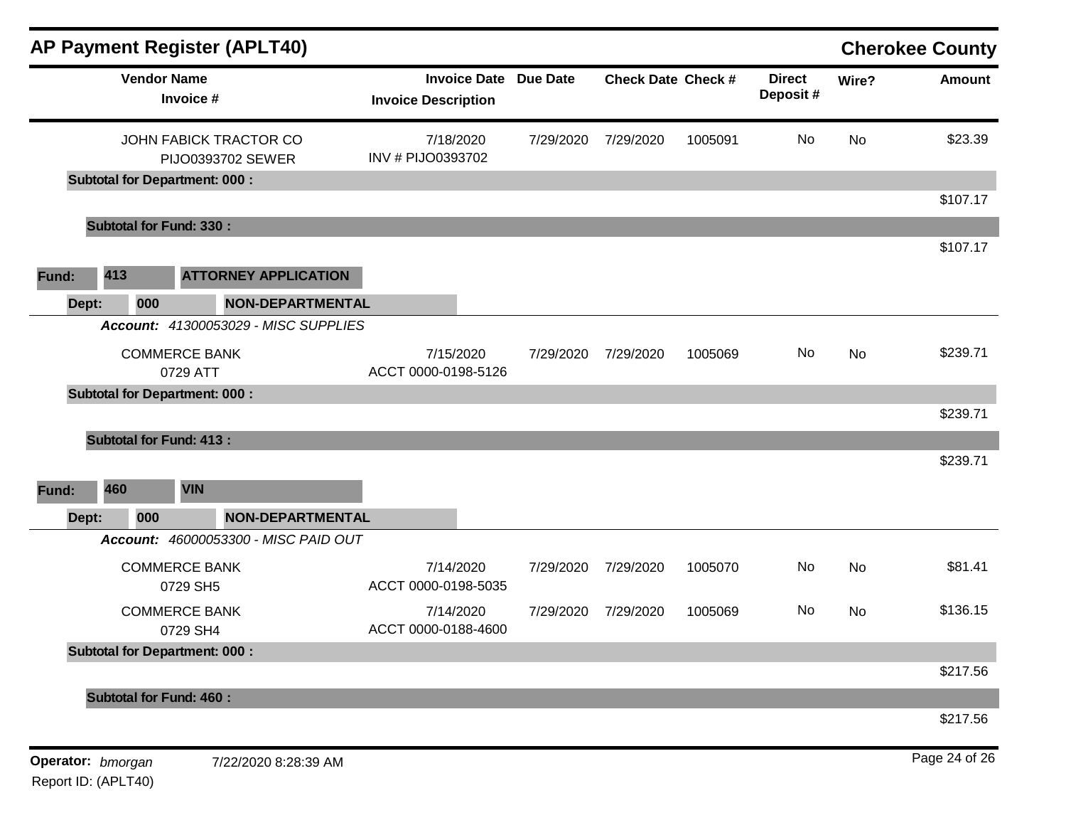|       |                                  | <b>AP Payment Register (APLT40)</b>         |                         |                                                            |           |                           |         |                           |       | <b>Cherokee County</b> |
|-------|----------------------------------|---------------------------------------------|-------------------------|------------------------------------------------------------|-----------|---------------------------|---------|---------------------------|-------|------------------------|
|       |                                  | <b>Vendor Name</b><br>Invoice #             |                         | <b>Invoice Date Due Date</b><br><b>Invoice Description</b> |           | <b>Check Date Check #</b> |         | <b>Direct</b><br>Deposit# | Wire? | <b>Amount</b>          |
|       |                                  | JOHN FABICK TRACTOR CO<br>PIJO0393702 SEWER |                         | 7/18/2020<br>INV # PIJO0393702                             | 7/29/2020 | 7/29/2020                 | 1005091 | No                        | No    | \$23.39                |
|       |                                  | <b>Subtotal for Department: 000:</b>        |                         |                                                            |           |                           |         |                           |       |                        |
|       | <b>Subtotal for Fund: 330:</b>   |                                             |                         |                                                            |           |                           |         |                           |       | \$107.17               |
| Fund: | 413                              | <b>ATTORNEY APPLICATION</b>                 |                         |                                                            |           |                           |         |                           |       | \$107.17               |
| Dept: | 000                              |                                             | <b>NON-DEPARTMENTAL</b> |                                                            |           |                           |         |                           |       |                        |
|       |                                  | <b>Account: 41300053029 - MISC SUPPLIES</b> |                         |                                                            |           |                           |         |                           |       |                        |
|       | <b>COMMERCE BANK</b><br>0729 ATT |                                             |                         | 7/15/2020<br>ACCT 0000-0198-5126                           | 7/29/2020 | 7/29/2020                 | 1005069 | No                        | No    | \$239.71               |
|       |                                  | <b>Subtotal for Department: 000:</b>        |                         |                                                            |           |                           |         |                           |       | \$239.71               |
|       | <b>Subtotal for Fund: 413:</b>   |                                             |                         |                                                            |           |                           |         |                           |       |                        |
|       |                                  |                                             |                         |                                                            |           |                           |         |                           |       | \$239.71               |
| Fund: | 460                              | <b>VIN</b>                                  |                         |                                                            |           |                           |         |                           |       |                        |
| Dept: | 000                              |                                             | <b>NON-DEPARTMENTAL</b> |                                                            |           |                           |         |                           |       |                        |
|       |                                  | Account: 46000053300 - MISC PAID OUT        |                         |                                                            |           |                           |         |                           |       |                        |
|       | <b>COMMERCE BANK</b><br>0729 SH5 |                                             |                         | 7/14/2020<br>ACCT 0000-0198-5035                           | 7/29/2020 | 7/29/2020                 | 1005070 | No                        | No    | \$81.41                |
|       | <b>COMMERCE BANK</b><br>0729 SH4 |                                             |                         | 7/14/2020<br>ACCT 0000-0188-4600                           | 7/29/2020 | 7/29/2020                 | 1005069 | No                        | No    | \$136.15               |
|       |                                  | <b>Subtotal for Department: 000:</b>        |                         |                                                            |           |                           |         |                           |       |                        |
|       |                                  |                                             |                         |                                                            |           |                           |         |                           |       | \$217.56               |
|       | <b>Subtotal for Fund: 460:</b>   |                                             |                         |                                                            |           |                           |         |                           |       |                        |
|       |                                  |                                             |                         |                                                            |           |                           |         |                           |       | \$217.56               |
|       | Operator: bmorgan                | 7/22/2020 8:28:39 AM                        |                         |                                                            |           |                           |         |                           |       | Page 24 of 26          |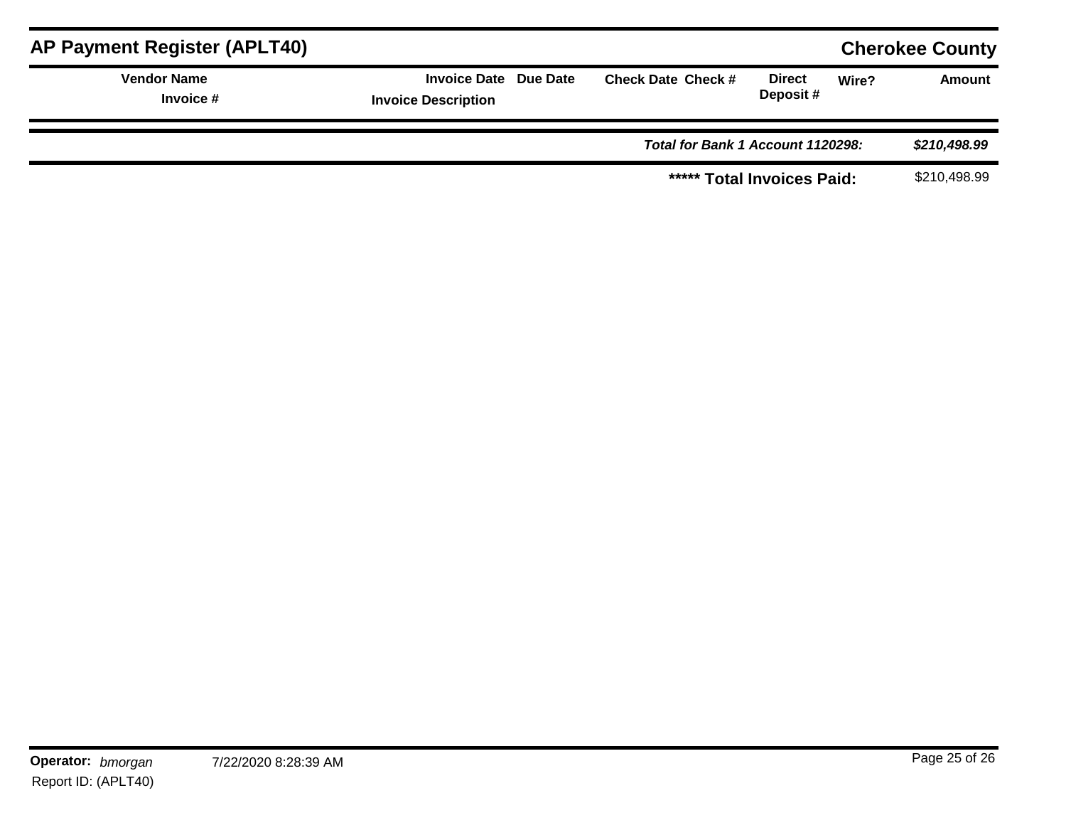| <b>AP Payment Register (APLT40)</b> |                                                     |  |                                   |                           | <b>Cherokee County</b> |               |
|-------------------------------------|-----------------------------------------------------|--|-----------------------------------|---------------------------|------------------------|---------------|
| <b>Vendor Name</b><br>Invoice #     | Invoice Date Due Date<br><b>Invoice Description</b> |  | <b>Check Date Check #</b>         | <b>Direct</b><br>Deposit# | Wire?                  | <b>Amount</b> |
|                                     |                                                     |  | Total for Bank 1 Account 1120298: |                           |                        | \$210,498.99  |
|                                     |                                                     |  | ***** Total Invoices Paid:        |                           |                        | \$210,498.99  |